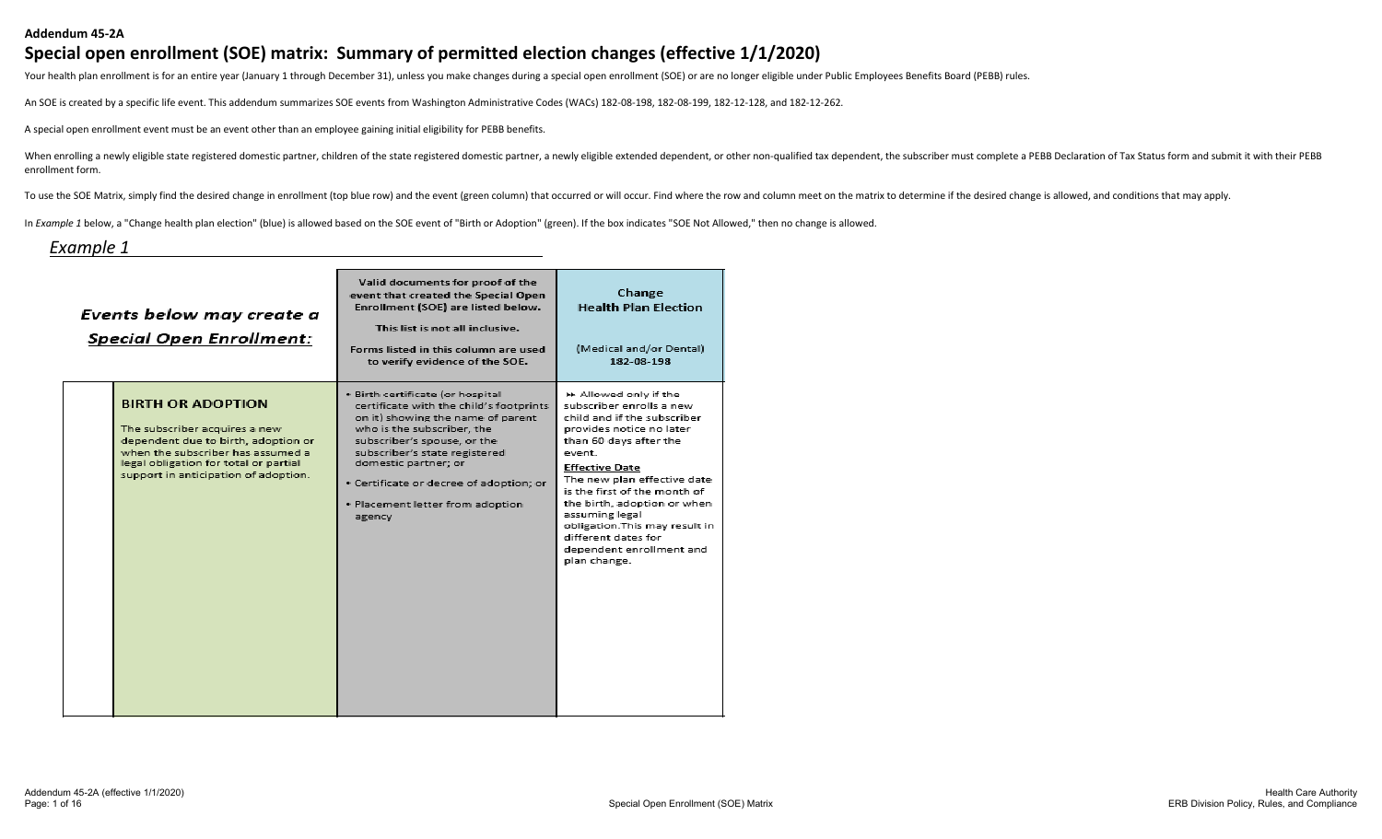#### **Addendum 45-2A**

#### **Special open enrollment (SOE) matrix: Summary of permitted election changes (effective 1/1/2020)**

Your health plan enrollment is for an entire year (January 1 through December 31), unless you make changes during a special open enrollment (SOE) or are no longer eligible under Public Employees Benefits Board (PEBB) rules

An SOE is created by a specific life event. This addendum summarizes SOE events from Washington Administrative Codes (WACs) 182-08-198, 182-08-199, 182-12-128, and 182-12-262.

A special open enrollment event must be an event other than an employee gaining initial eligibility for PEBB benefits.

When enrolling a newly eligible state registered domestic partner, children of the state registered domestic partner, a newly eligible extended dependent, or other non-qualified tax dependent, the subscriber must complete enrollment form.

To use the SOE Matrix, simply find the desired change in enrollment (top blue row) and the event (green column) that occurred or will occur. Find where the row and column meet on the matrix to determine if the desired chan

In *Example 1* below, a "Change health plan election" (blue) is allowed based on the SOE event of "Birth or Adoption" (green). If the box indicates "SOE Not Allowed," then no change is allowed.

#### *Example 1*

| Events below may create a<br><b>Special Open Enrollment:</b>                                                                                                                                                           | Valid documents for proof of the<br>event that created the Special Open<br>Enrollment (SOE) are listed below.<br>This list is not all inclusive.<br>Forms listed in this column are used<br>to verify evidence of the SOE.                                                                                                      | Change<br><b>Health Plan Election</b><br>(Medical and/or Dental)<br>182-08-198                                                                                                                                                                                                                                                                                                                 |
|------------------------------------------------------------------------------------------------------------------------------------------------------------------------------------------------------------------------|---------------------------------------------------------------------------------------------------------------------------------------------------------------------------------------------------------------------------------------------------------------------------------------------------------------------------------|------------------------------------------------------------------------------------------------------------------------------------------------------------------------------------------------------------------------------------------------------------------------------------------------------------------------------------------------------------------------------------------------|
| <b>BIRTH OR ADOPTION</b><br>The subscriber acquires a new<br>dependent due to birth, adoption or<br>when the subscriber has assumed a<br>legal obligation for total or partial<br>support in anticipation of adoption. | · Birth certificate (or hospital<br>certificate with the child's footprints<br>on it) showing the name of parent<br>who is the subscriber, the<br>subscriber's spouse, or the<br>subscriber's state registered<br>domestic partner; or<br>· Certificate or decree of adoption; or<br>· Placement letter from adoption<br>agency | R Allowed only if the<br>subscriber enrolls a new<br>child and if the subscriber<br>provides notice no later<br>than 60 days after the<br>event.<br><b>Effective Date</b><br>The new plan effective date<br>is the first of the month of<br>the birth, adoption or when<br>assuming legal<br>obligation. This may result in<br>different dates for<br>dependent enrollment and<br>plan change. |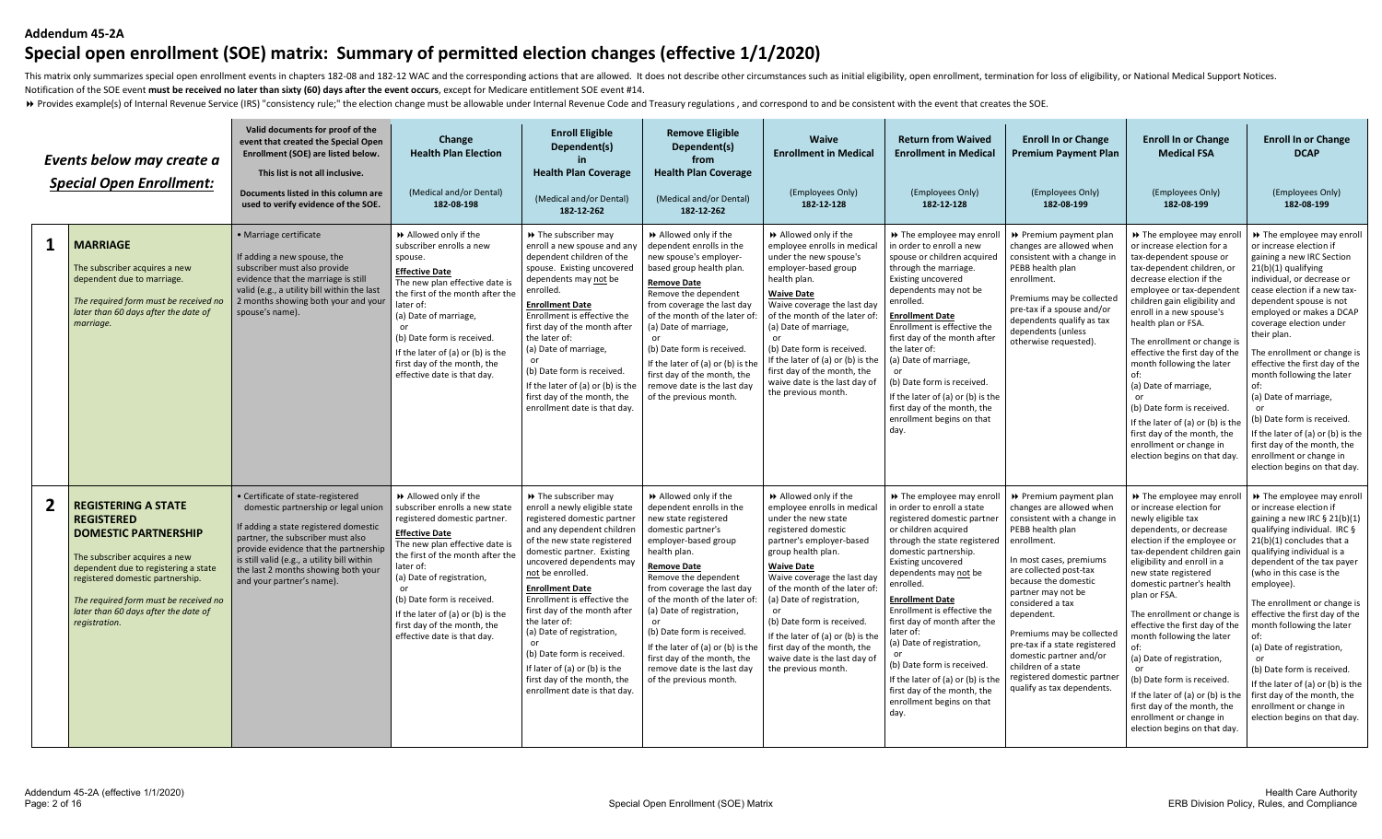#### **Addendum 45-2A**

# **Special open enrollment (SOE) matrix: Summary of permitted election changes (effective 1/1/2020)**

This matrix only summarizes special open enrollment events in chapters 182-08 and 182-12 WAC and the corresponding actions that are allowed. It does not describe other circumstances such as initial eligibility, open enroll Notification of the SOE event **must be received no later than sixty (60) days after the event occurs**, except for Medicare entitlement SOE event #14.

> Provides example(s) of Internal Revenue Service (IRS) "consistency rule;" the election change must be allowable under Internal Revenue Code and Treasury regulations, and correspond to and be consistent with the event tha

|              | Events below may create a<br><b>Special Open Enrollment:</b>                                                                                                                                                                                                                                  | Valid documents for proof of the<br>event that created the Special Open<br>Enrollment (SOE) are listed below.<br>This list is not all inclusive.<br>Documents listed in this column are<br>used to verify evidence of the SOE.                                                                                     | Change<br><b>Health Plan Election</b><br>(Medical and/or Dental)<br>182-08-198                                                                                                                                                                                                                                                                                     | <b>Enroll Eligible</b><br>Dependent(s)<br><b>Health Plan Coverage</b><br>(Medical and/or Dental)<br>182-12-262                                                                                                                                                                                                                                                                                                                                                                                            | <b>Remove Eligible</b><br>Dependent(s)<br>from<br><b>Health Plan Coverage</b><br>(Medical and/or Dental)<br>182-12-262                                                                                                                                                                                                                                                                                                                    | <b>Waive</b><br><b>Enrollment in Medical</b><br>(Employees Only)<br>182-12-128                                                                                                                                                                                                                                                                                                                                                    | <b>Return from Waived</b><br><b>Enrollment in Medical</b><br>(Employees Only)<br>182-12-128                                                                                                                                                                                                                                                                                                                                                                                                                           | <b>Enroll In or Change</b><br><b>Premium Payment Plan</b><br>(Employees Only)<br>182-08-199                                                                                                                                                                                                                                                                                                                                            | <b>Enroll In or Change</b><br><b>Medical FSA</b><br>(Employees Only)<br>182-08-199                                                                                                                                                                                                                                                                                                                                                                                                                                                                                           | <b>Enroll In or Change</b><br><b>DCAP</b><br>(Employees Only)<br>182-08-199                                                                                                                                                                                                                                                                                                                                                                                                                                                                                               |
|--------------|-----------------------------------------------------------------------------------------------------------------------------------------------------------------------------------------------------------------------------------------------------------------------------------------------|--------------------------------------------------------------------------------------------------------------------------------------------------------------------------------------------------------------------------------------------------------------------------------------------------------------------|--------------------------------------------------------------------------------------------------------------------------------------------------------------------------------------------------------------------------------------------------------------------------------------------------------------------------------------------------------------------|-----------------------------------------------------------------------------------------------------------------------------------------------------------------------------------------------------------------------------------------------------------------------------------------------------------------------------------------------------------------------------------------------------------------------------------------------------------------------------------------------------------|-------------------------------------------------------------------------------------------------------------------------------------------------------------------------------------------------------------------------------------------------------------------------------------------------------------------------------------------------------------------------------------------------------------------------------------------|-----------------------------------------------------------------------------------------------------------------------------------------------------------------------------------------------------------------------------------------------------------------------------------------------------------------------------------------------------------------------------------------------------------------------------------|-----------------------------------------------------------------------------------------------------------------------------------------------------------------------------------------------------------------------------------------------------------------------------------------------------------------------------------------------------------------------------------------------------------------------------------------------------------------------------------------------------------------------|----------------------------------------------------------------------------------------------------------------------------------------------------------------------------------------------------------------------------------------------------------------------------------------------------------------------------------------------------------------------------------------------------------------------------------------|------------------------------------------------------------------------------------------------------------------------------------------------------------------------------------------------------------------------------------------------------------------------------------------------------------------------------------------------------------------------------------------------------------------------------------------------------------------------------------------------------------------------------------------------------------------------------|---------------------------------------------------------------------------------------------------------------------------------------------------------------------------------------------------------------------------------------------------------------------------------------------------------------------------------------------------------------------------------------------------------------------------------------------------------------------------------------------------------------------------------------------------------------------------|
| 1            | <b>MARRIAGE</b><br>The subscriber acquires a new<br>dependent due to marriage.<br>The required form must be received no<br>later than 60 days after the date of<br>marriage.                                                                                                                  | · Marriage certificate<br>If adding a new spouse, the<br>subscriber must also provide<br>evidence that the marriage is still<br>valid (e.g., a utility bill within the last<br>2 months showing both your and your<br>spouse's name).                                                                              | >> Allowed only if the<br>subscriber enrolls a new<br>spouse.<br><b>Effective Date</b><br>The new plan effective date is<br>the first of the month after the<br>later of:<br>(a) Date of marriage,<br>or<br>(b) Date form is received.<br>If the later of (a) or (b) is the<br>first day of the month, the<br>effective date is that day.                          | >> The subscriber may<br>enroll a new spouse and any<br>dependent children of the<br>spouse. Existing uncovered<br>dependents may not be<br>enrolled.<br><b>Enrollment Date</b><br>Enrollment is effective the<br>first day of the month after<br>the later of:<br>(a) Date of marriage,<br>or<br>(b) Date form is received.<br>If the later of (a) or (b) is the<br>first day of the month, the<br>enrollment date is that day                                                                           | >> Allowed only if the<br>dependent enrolls in the<br>new spouse's employer-<br>based group health plan.<br><b>Remove Date</b><br>Remove the dependent<br>from coverage the last day<br>of the month of the later of:<br>(a) Date of marriage,<br>(b) Date form is received<br>If the later of (a) or (b) is the<br>first day of the month, the<br>remove date is the last day<br>of the previous month.                                  | Allowed only if the<br>employee enrolls in medica<br>under the new spouse's<br>employer-based group<br>health plan.<br><b>Waive Date</b><br>Waive coverage the last day<br>of the month of the later of<br>(a) Date of marriage,<br>(b) Date form is received.<br>If the later of (a) or (b) is the<br>first day of the month, the<br>waive date is the last day of<br>the previous month.                                        | >> The employee may enroll<br>in order to enroll a new<br>spouse or children acquired<br>through the marriage.<br><b>Existing uncovered</b><br>dependents may not be<br>enrolled.<br><b>Enrollment Date</b><br>Enrollment is effective the<br>first day of the month after<br>the later of:<br>(a) Date of marriage,<br>(b) Date form is received.<br>If the later of (a) or (b) is the<br>first day of the month, the<br>enrollment begins on that<br>day.                                                           | ▶ Premium payment plan<br>changes are allowed when<br>consistent with a change in<br>PEBB health plan<br>enrollment.<br>Premiums may be collected<br>pre-tax if a spouse and/or<br>dependents qualify as tax<br>dependents (unless<br>otherwise requested).                                                                                                                                                                            | >> The employee may enr<br>or increase election for a<br>tax-dependent spouse or<br>tax-dependent children, or<br>decrease election if the<br>employee or tax-dependent<br>children gain eligibility and<br>enroll in a new spouse's<br>health plan or FSA.<br>The enrollment or change is<br>effective the first day of the<br>month following the later<br>(a) Date of marriage,<br>(b) Date form is received.<br>If the later of (a) or (b) is the<br>first day of the month, the<br>enrollment or change in<br>election begins on that day.                              | >> The employee may enroll<br>or increase election if<br>gaining a new IRC Section<br>21(b)(1) qualifying<br>individual, or decrease or<br>cease election if a new tax-<br>dependent spouse is not<br>employed or makes a DCAP<br>coverage election under<br>their plan.<br>The enrollment or change is<br>effective the first day of the<br>month following the later<br>of:<br>(a) Date of marriage,<br>or<br>(b) Date form is received.<br>If the later of (a) or (b) is the<br>first day of the month, the<br>enrollment or change in<br>election begins on that day. |
| $\mathbf{2}$ | <b>REGISTERING A STATE</b><br><b>REGISTERED</b><br><b>DOMESTIC PARTNERSHIP</b><br>The subscriber acquires a new<br>dependent due to registering a state<br>registered domestic partnership.<br>The required form must be received no<br>later than 60 days after the date of<br>registration. | · Certificate of state-registered<br>domestic partnership or legal union<br>If adding a state registered domestic<br>partner, the subscriber must also<br>provide evidence that the partnership<br>is still valid (e.g., a utility bill within<br>the last 2 months showing both your<br>and your partner's name). | >> Allowed only if the<br>subscriber enrolls a new state<br>registered domestic partner.<br><b>Effective Date</b><br>The new plan effective date is<br>the first of the month after the<br>later of:<br>(a) Date of registration,<br>(b) Date form is received.<br>If the later of (a) or (b) is the<br>first day of the month, the<br>effective date is that day. | >> The subscriber may<br>enroll a newly eligible state<br>registered domestic partner<br>and any dependent children<br>of the new state registered<br>domestic partner. Existing<br>uncovered dependents may<br>not be enrolled.<br><b>Enrollment Date</b><br>Enrollment is effective the<br>first day of the month after<br>the later of:<br>(a) Date of registration,<br>or<br>(b) Date form is received<br>If later of (a) or (b) is the<br>first day of the month, the<br>enrollment date is that day | Allowed only if the<br>dependent enrolls in the<br>new state registered<br>domestic partner's<br>employer-based group<br>health plan.<br><b>Remove Date</b><br>Remove the dependent<br>from coverage the last day<br>of the month of the later of:<br>(a) Date of registration,<br>(b) Date form is received<br>If the later of (a) or (b) is the<br>first day of the month, the<br>remove date is the last day<br>of the previous month. | Allowed only if the<br>employee enrolls in medical<br>under the new state<br>registered domestic<br>partner's employer-based<br>group health plan.<br><b>Waive Date</b><br>Waive coverage the last day<br>of the month of the later of<br>(a) Date of registration,<br>or<br>(b) Date form is received<br>If the later of (a) or (b) is th<br>first day of the month, the<br>waive date is the last day of<br>the previous month. | >> The employee may enroll<br>in order to enroll a state<br>registered domestic partner<br>or children acquired<br>through the state registered<br>domestic partnership.<br><b>Existing uncovered</b><br>dependents may not be<br>enrolled.<br><b>Enrollment Date</b><br>Enrollment is effective the<br>first day of month after the<br>later of:<br>(a) Date of registration,<br>(b) Date form is received.<br>If the later of (a) or (b) is the<br>first day of the month, the<br>enrollment begins on that<br>day. | ▶ Premium payment plan<br>changes are allowed when<br>consistent with a change in<br>PEBB health plan<br>enrollment.<br>In most cases, premiums<br>are collected post-tax<br>because the domestic<br>partner may not be<br>considered a tax<br>dependent.<br>Premiums may be collected<br>pre-tax if a state registered<br>domestic partner and/or<br>children of a state<br>registered domestic partner<br>qualify as tax dependents. | >> The employee may enro<br>or increase election for<br>newly eligible tax<br>dependents, or decrease<br>election if the employee or<br>tax-dependent children gai<br>eligibility and enroll in a<br>new state registered<br>domestic partner's health<br>plan or FSA.<br>The enrollment or change is<br>effective the first day of the<br>month following the later<br>(a) Date of registration,<br>$\alpha$ r<br>(b) Date form is received.<br>If the later of (a) or (b) is the<br>first day of the month, the<br>enrollment or change in<br>election begins on that day. | >> The employee may enroll<br>or increase election if<br>gaining a new IRC $\S$ 21(b)(1)<br>qualifying individual. IRC §<br>$21(b)(1)$ concludes that a<br>qualifying individual is a<br>dependent of the tax payer<br>(who in this case is the<br>employee).<br>The enrollment or change is<br>effective the first day of the<br>month following the later<br>of:<br>(a) Date of registration,<br>or<br>(b) Date form is received.<br>If the later of (a) or (b) is the<br>first day of the month, the<br>enrollment or change in<br>election begins on that day.        |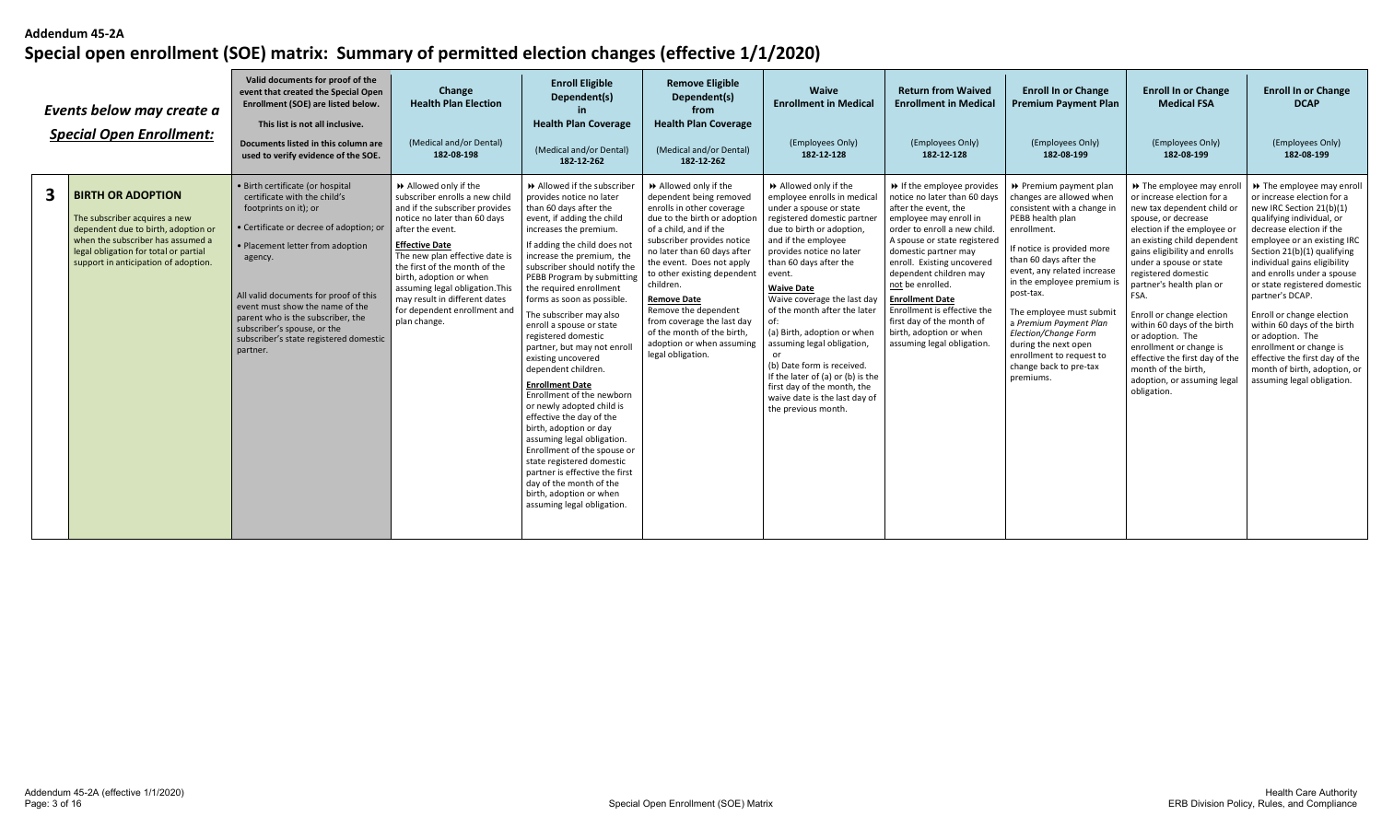|              | Events below may create a<br><b>Special Open Enrollment:</b>                                                                                                                                                           | Valid documents for proof of the<br>event that created the Special Open<br>Enrollment (SOE) are listed below.<br>This list is not all inclusive.<br>Documents listed in this column are<br>used to verify evidence of the SOE.                                                                                                                                                            | Change<br><b>Health Plan Election</b><br>(Medical and/or Dental)<br>182-08-198                                                                                                                                                                                                                                                                                                         | <b>Enroll Eligible</b><br>Dependent(s)<br><b>Health Plan Coverage</b><br>(Medical and/or Dental)<br>182-12-262                                                                                                                                                                                                                                                                                                                                                                                                                                                                                                                                                                                                                                                                                                                                | <b>Remove Eligible</b><br>Dependent(s)<br>from<br><b>Health Plan Coverage</b><br>(Medical and/or Dental)<br>182-12-262                                                                                                                                                                                                                                                                                                                  | Waive<br><b>Enrollment in Medical</b><br>(Employees Only)<br>182-12-128                                                                                                                                                                                                                                                                                                                                                                                                                                                                     | <b>Return from Waived</b><br><b>Enrollment in Medical</b><br>(Employees Only)<br>182-12-128                                                                                                                                                                                                                                                                                                                                     | <b>Enroll In or Change</b><br><b>Premium Payment Plan</b><br>(Employees Only)<br>182-08-199                                                                                                                                                                                                                                                                                                                                     | <b>Enroll In or Change</b><br><b>Medical FSA</b><br>(Employees Only)<br>182-08-199                                                                                                                                                                                                                                                                                                                                                                                                                                 | <b>Enroll In or Change</b><br><b>DCAP</b><br>(Employees Only)<br>182-08-199                                                                                                                                                                                                                                                                                                                                                                                                                                                            |
|--------------|------------------------------------------------------------------------------------------------------------------------------------------------------------------------------------------------------------------------|-------------------------------------------------------------------------------------------------------------------------------------------------------------------------------------------------------------------------------------------------------------------------------------------------------------------------------------------------------------------------------------------|----------------------------------------------------------------------------------------------------------------------------------------------------------------------------------------------------------------------------------------------------------------------------------------------------------------------------------------------------------------------------------------|-----------------------------------------------------------------------------------------------------------------------------------------------------------------------------------------------------------------------------------------------------------------------------------------------------------------------------------------------------------------------------------------------------------------------------------------------------------------------------------------------------------------------------------------------------------------------------------------------------------------------------------------------------------------------------------------------------------------------------------------------------------------------------------------------------------------------------------------------|-----------------------------------------------------------------------------------------------------------------------------------------------------------------------------------------------------------------------------------------------------------------------------------------------------------------------------------------------------------------------------------------------------------------------------------------|---------------------------------------------------------------------------------------------------------------------------------------------------------------------------------------------------------------------------------------------------------------------------------------------------------------------------------------------------------------------------------------------------------------------------------------------------------------------------------------------------------------------------------------------|---------------------------------------------------------------------------------------------------------------------------------------------------------------------------------------------------------------------------------------------------------------------------------------------------------------------------------------------------------------------------------------------------------------------------------|---------------------------------------------------------------------------------------------------------------------------------------------------------------------------------------------------------------------------------------------------------------------------------------------------------------------------------------------------------------------------------------------------------------------------------|--------------------------------------------------------------------------------------------------------------------------------------------------------------------------------------------------------------------------------------------------------------------------------------------------------------------------------------------------------------------------------------------------------------------------------------------------------------------------------------------------------------------|----------------------------------------------------------------------------------------------------------------------------------------------------------------------------------------------------------------------------------------------------------------------------------------------------------------------------------------------------------------------------------------------------------------------------------------------------------------------------------------------------------------------------------------|
| $\mathbf{3}$ | <b>BIRTH OR ADOPTION</b><br>The subscriber acquires a new<br>dependent due to birth, adoption or<br>when the subscriber has assumed a<br>legal obligation for total or partial<br>support in anticipation of adoption. | · Birth certificate (or hospital<br>certificate with the child's<br>footprints on it); or<br>· Certificate or decree of adoption; or<br>• Placement letter from adoption<br>agency.<br>All valid documents for proof of this<br>event must show the name of the<br>parent who is the subscriber, the<br>subscriber's spouse, or the<br>subscriber's state registered domestic<br>partner. | Allowed only if the<br>subscriber enrolls a new child<br>and if the subscriber provides<br>notice no later than 60 days<br>after the event.<br><b>Effective Date</b><br>The new plan effective date is<br>the first of the month of the<br>birth, adoption or when<br>assuming legal obligation. This<br>may result in different dates<br>for dependent enrollment and<br>plan change. | Allowed if the subscriber<br>provides notice no later<br>than 60 days after the<br>event, if adding the child<br>increases the premium.<br>If adding the child does not<br>increase the premium, the<br>subscriber should notify the<br>PEBB Program by submitting<br>the required enrollment<br>forms as soon as possible.<br>The subscriber may also<br>enroll a spouse or state<br>registered domestic<br>partner, but may not enro<br>existing uncovered<br>dependent children.<br><b>Enrollment Date</b><br>Enrollment of the newborn<br>or newly adopted child is<br>effective the day of the<br>birth, adoption or day<br>assuming legal obligation.<br>Enrollment of the spouse or<br>state registered domestic<br>partner is effective the first<br>day of the month of the<br>birth, adoption or when<br>assuming legal obligation. | Allowed only if the<br>dependent being removed<br>enrolls in other coverage<br>due to the birth or adoption<br>of a child, and if the<br>subscriber provides notice<br>no later than 60 days after<br>the event. Does not apply<br>to other existing dependent<br>children.<br><b>Remove Date</b><br>Remove the dependent<br>from coverage the last day<br>of the month of the birth,<br>adoption or when assuming<br>legal obligation. | Allowed only if the<br>employee enrolls in medical<br>under a spouse or state<br>registered domestic partner<br>due to birth or adoption,<br>and if the employee<br>provides notice no later<br>than 60 days after the<br>event.<br><b>Waive Date</b><br>Waive coverage the last day<br>of the month after the later<br>(a) Birth, adoption or when<br>assuming legal obligation,<br>(b) Date form is received.<br>If the later of (a) or (b) is the<br>first day of the month, the<br>waive date is the last day of<br>the previous month. | → If the employee provides<br>notice no later than 60 days<br>after the event. the<br>employee may enroll in<br>order to enroll a new child.<br>A spouse or state registered<br>domestic partner may<br>enroll. Existing uncovered<br>dependent children may<br>not be enrolled.<br><b>Enrollment Date</b><br>Enrollment is effective the<br>first day of the month of<br>birth, adoption or when<br>assuming legal obligation. | ▶ Premium payment plan<br>changes are allowed when<br>consistent with a change in<br>PEBB health plan<br>enrollment.<br>If notice is provided more<br>than 60 days after the<br>event, any related increase<br>in the employee premium is<br>post-tax.<br>The employee must submit<br>a Premium Payment Plan<br>Election/Change Form<br>during the next open<br>enrollment to request to<br>change back to pre-tax<br>premiums. | >> The employee may enro<br>or increase election for a<br>new tax dependent child or<br>spouse, or decrease<br>election if the employee or<br>an existing child dependent<br>gains eligibility and enrolls<br>under a spouse or state<br>registered domestic<br>partner's health plan or<br>FSA.<br>Enroll or change election<br>within 60 days of the birth<br>or adoption. The<br>enrollment or change is<br>effective the first day of the<br>month of the birth,<br>adoption, or assuming legal<br>obligation. | → The employee may enroll<br>or increase election for a<br>new IRC Section 21(b)(1)<br>qualifying individual, or<br>decrease election if the<br>employee or an existing IRC<br>Section 21(b)(1) qualifying<br>individual gains eligibility<br>and enrolls under a spouse<br>or state registered domestic<br>partner's DCAP.<br>Enroll or change election<br>within 60 days of the birth<br>or adoption. The<br>enrollment or change is<br>effective the first day of the<br>month of birth, adoption, or<br>assuming legal obligation. |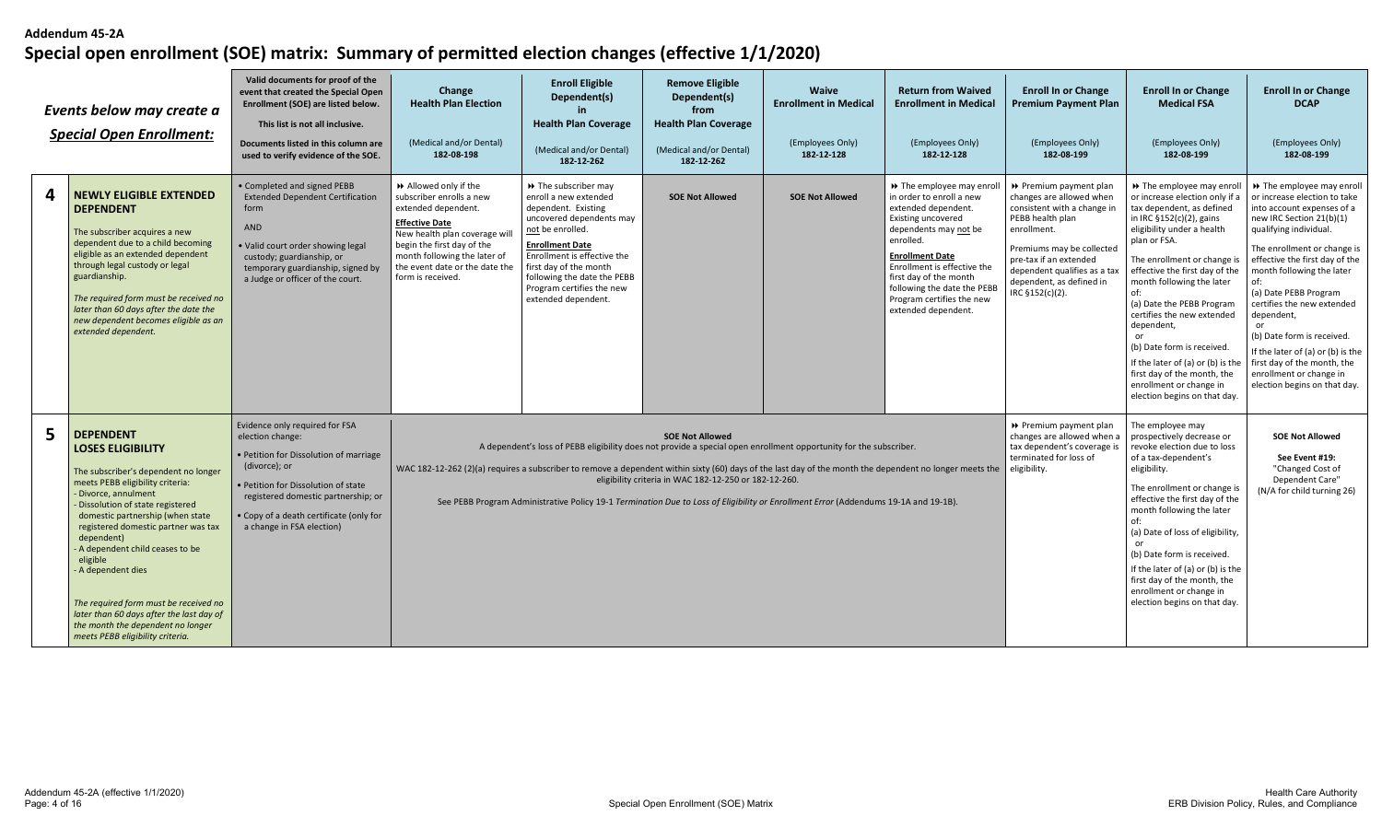| Events below may create a<br><b>Special Open Enrollment:</b>                                                                                                                                                                                                                                                                                                                                                                                                                                                 | Valid documents for proof of the<br>event that created the Special Open<br>Enrollment (SOE) are listed below.<br>This list is not all inclusive.<br>Documents listed in this column are<br>used to verify evidence of the SOE.                                      | Change<br><b>Health Plan Election</b><br>(Medical and/or Dental)<br>182-08-198                                                                                                                                                                        | <b>Enroll Eligible</b><br>Dependent(s)<br><b>Health Plan Coverage</b><br>(Medical and/or Dental)<br>182-12-262                                                                                                                                                                              | <b>Remove Eligible</b><br>Dependent(s)<br>from<br><b>Health Plan Coverage</b><br>(Medical and/or Dental)<br>182-12-262 | <b>Waive</b><br><b>Enrollment in Medical</b><br>(Employees Only)<br>182-12-128                                                                                                                                                                           | <b>Return from Waived</b><br><b>Enrollment in Medical</b><br>(Employees Only)<br>182-12-128                                                                                                                                                                                                                     | <b>Enroll In or Change</b><br><b>Premium Payment Plan</b><br>(Employees Only)<br>182-08-199                                                                                                                                                                | <b>Enroll In or Change</b><br><b>Medical FSA</b><br>(Employees Only)<br>182-08-199                                                                                                                                                                                                                                                                                                                                                                                                                             | <b>Enroll In or Change</b><br><b>DCAP</b><br>(Employees Only)<br>182-08-199                                                                                                                                                                                                                                                                                                                                                                                                                 |
|--------------------------------------------------------------------------------------------------------------------------------------------------------------------------------------------------------------------------------------------------------------------------------------------------------------------------------------------------------------------------------------------------------------------------------------------------------------------------------------------------------------|---------------------------------------------------------------------------------------------------------------------------------------------------------------------------------------------------------------------------------------------------------------------|-------------------------------------------------------------------------------------------------------------------------------------------------------------------------------------------------------------------------------------------------------|---------------------------------------------------------------------------------------------------------------------------------------------------------------------------------------------------------------------------------------------------------------------------------------------|------------------------------------------------------------------------------------------------------------------------|----------------------------------------------------------------------------------------------------------------------------------------------------------------------------------------------------------------------------------------------------------|-----------------------------------------------------------------------------------------------------------------------------------------------------------------------------------------------------------------------------------------------------------------------------------------------------------------|------------------------------------------------------------------------------------------------------------------------------------------------------------------------------------------------------------------------------------------------------------|----------------------------------------------------------------------------------------------------------------------------------------------------------------------------------------------------------------------------------------------------------------------------------------------------------------------------------------------------------------------------------------------------------------------------------------------------------------------------------------------------------------|---------------------------------------------------------------------------------------------------------------------------------------------------------------------------------------------------------------------------------------------------------------------------------------------------------------------------------------------------------------------------------------------------------------------------------------------------------------------------------------------|
| <b>NEWLY ELIGIBLE EXTENDED</b><br><b>DEPENDENT</b><br>The subscriber acquires a new<br>dependent due to a child becoming<br>eligible as an extended dependent<br>through legal custody or legal<br>guardianship.<br>The required form must be received no<br>later than 60 days after the date the<br>new dependent becomes eligible as an<br>extended dependent.                                                                                                                                            | • Completed and signed PEBB<br><b>Extended Dependent Certification</b><br>form<br>AND<br>• Valid court order showing legal<br>custody; guardianship, or<br>temporary guardianship, signed by<br>a Judge or officer of the court.                                    | Allowed only if the<br>subscriber enrolls a new<br>extended dependent.<br><b>Effective Date</b><br>New health plan coverage will<br>begin the first day of the<br>month following the later of<br>the event date or the date the<br>form is received. | >> The subscriber may<br>enroll a new extended<br>dependent. Existing<br>uncovered dependents may<br>not be enrolled.<br><b>Enrollment Date</b><br>Enrollment is effective the<br>first day of the month<br>following the date the PEBB<br>Program certifies the new<br>extended dependent. | <b>SOE Not Allowed</b>                                                                                                 | <b>SOE Not Allowed</b>                                                                                                                                                                                                                                   | >> The employee may enroll<br>in order to enroll a new<br>extended dependent.<br>Existing uncovered<br>dependents may not be<br>enrolled.<br><b>Enrollment Date</b><br>Enrollment is effective the<br>first day of the month<br>following the date the PEBB<br>Program certifies the new<br>extended dependent. | ▶ Premium payment plan<br>changes are allowed when<br>consistent with a change in<br>PEBB health plan<br>enrollment.<br>Premiums may be collected<br>pre-tax if an extended<br>dependent qualifies as a tax<br>dependent, as defined in<br>IRC §152(c)(2). | >> The employee may enroll<br>or increase election only if a<br>tax dependent, as defined<br>in IRC §152(c)(2), gains<br>eligibility under a health<br>plan or FSA.<br>The enrollment or change is<br>effective the first day of the<br>month following the later<br>of:<br>(a) Date the PEBB Program<br>certifies the new extended<br>dependent,<br>(b) Date form is received.<br>If the later of (a) or (b) is the<br>first day of the month, the<br>enrollment or change in<br>election begins on that day. | >> The employee may enroll<br>or increase election to take<br>into account expenses of a<br>new IRC Section 21(b)(1)<br>qualifying individual.<br>The enrollment or change is<br>effective the first day of the<br>month following the later<br>of:<br>(a) Date PEBB Program<br>certifies the new extended<br>dependent,<br>or<br>(b) Date form is received.<br>If the later of (a) or (b) is the<br>first day of the month, the<br>enrollment or change in<br>election begins on that day. |
| <b>DEPENDENT</b><br><b>LOSES ELIGIBILITY</b><br>The subscriber's dependent no longer<br>meets PEBB eligibility criteria:<br>Divorce, annulment<br>- Dissolution of state registered<br>domestic partnership (when state<br>registered domestic partner was tax<br>dependent)<br>A dependent child ceases to be<br>eligible<br>A dependent dies<br>The required form must be received no<br>later than 60 days after the last day of<br>the month the dependent no longer<br>meets PEBB eligibility criteria. | Evidence only required for FSA<br>election change:<br>• Petition for Dissolution of marriage<br>(divorce); or<br>• Petition for Dissolution of state<br>registered domestic partnership; or<br>• Copy of a death certificate (only for<br>a change in FSA election) | WAC 182-12-262 (2)(a) requires a subscriber to remove a dependent within sixty (60) days of the last day of the month the dependent no longer meets the                                                                                               |                                                                                                                                                                                                                                                                                             | <b>SOE Not Allowed</b><br>eligibility criteria in WAC 182-12-250 or 182-12-260.                                        | A dependent's loss of PEBB eligibility does not provide a special open enrollment opportunity for the subscriber.<br>See PEBB Program Administrative Policy 19-1 Termination Due to Loss of Eligibility or Enrollment Error (Addendums 19-1A and 19-1B). |                                                                                                                                                                                                                                                                                                                 | ▶ Premium payment plan<br>changes are allowed when a<br>tax dependent's coverage is<br>terminated for loss of<br>eligibility.                                                                                                                              | The employee may<br>prospectively decrease or<br>revoke election due to loss<br>of a tax-dependent's<br>eligibility.<br>The enrollment or change is<br>effective the first day of the<br>month following the later<br>of:<br>(a) Date of loss of eligibility,<br>(b) Date form is received.<br>If the later of (a) or (b) is the<br>first day of the month, the<br>enrollment or change in<br>election begins on that day.                                                                                     | <b>SOE Not Allowed</b><br>See Event #19:<br>"Changed Cost of<br>Dependent Care"<br>(N/A for child turning 26)                                                                                                                                                                                                                                                                                                                                                                               |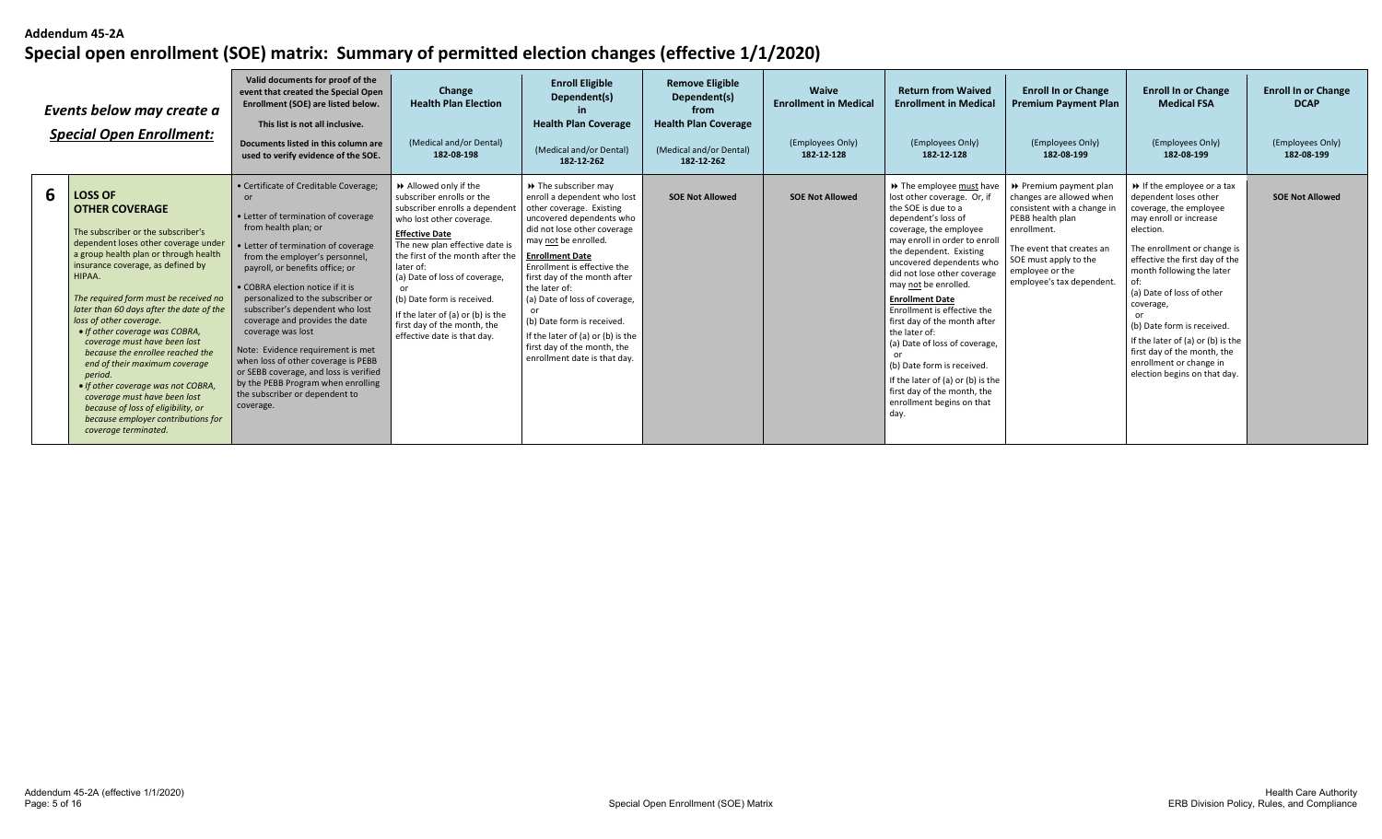|   | Events below may create a<br><b>Special Open Enrollment:</b>                                                                                                                                                                                                                                                                                                                                                                                                                                                                                                                                                                                              | Valid documents for proof of the<br>event that created the Special Open<br>Enrollment (SOE) are listed below.<br>This list is not all inclusive.<br>Documents listed in this column are<br>used to verify evidence of the SOE.                                                                                                                                                                                                                                                                                                                                                                       | Change<br><b>Health Plan Election</b><br>(Medical and/or Dental)<br>182-08-198                                                                                                                                                                                                                                                                                                               | <b>Enroll Eligible</b><br>Dependent(s)<br><b>Health Plan Coverage</b><br>(Medical and/or Dental)<br>182-12-262                                                                                                                                                                                                                                                                                                                                                    | <b>Remove Eligible</b><br>Dependent(s)<br>from<br><b>Health Plan Coverage</b><br>(Medical and/or Dental)<br>182-12-262 | <b>Waive</b><br><b>Enrollment in Medical</b><br>(Employees Only)<br>182-12-128 | <b>Return from Waived</b><br><b>Enrollment in Medical</b><br>(Employees Only)<br>182-12-128                                                                                                                                                                                                                                                                                                                                                                                                                                                                       | <b>Enroll In or Change</b><br><b>Premium Payment Plan</b><br>(Employees Only)<br>182-08-199                                                                                                                                | <b>Enroll In or Change</b><br><b>Medical FSA</b><br>(Employees Only)<br>182-08-199                                                                                                                                                                                                                                                                                                                                                          | <b>Enroll In or Change</b><br><b>DCAP</b><br>(Employees Only)<br>182-08-199 |
|---|-----------------------------------------------------------------------------------------------------------------------------------------------------------------------------------------------------------------------------------------------------------------------------------------------------------------------------------------------------------------------------------------------------------------------------------------------------------------------------------------------------------------------------------------------------------------------------------------------------------------------------------------------------------|------------------------------------------------------------------------------------------------------------------------------------------------------------------------------------------------------------------------------------------------------------------------------------------------------------------------------------------------------------------------------------------------------------------------------------------------------------------------------------------------------------------------------------------------------------------------------------------------------|----------------------------------------------------------------------------------------------------------------------------------------------------------------------------------------------------------------------------------------------------------------------------------------------------------------------------------------------------------------------------------------------|-------------------------------------------------------------------------------------------------------------------------------------------------------------------------------------------------------------------------------------------------------------------------------------------------------------------------------------------------------------------------------------------------------------------------------------------------------------------|------------------------------------------------------------------------------------------------------------------------|--------------------------------------------------------------------------------|-------------------------------------------------------------------------------------------------------------------------------------------------------------------------------------------------------------------------------------------------------------------------------------------------------------------------------------------------------------------------------------------------------------------------------------------------------------------------------------------------------------------------------------------------------------------|----------------------------------------------------------------------------------------------------------------------------------------------------------------------------------------------------------------------------|---------------------------------------------------------------------------------------------------------------------------------------------------------------------------------------------------------------------------------------------------------------------------------------------------------------------------------------------------------------------------------------------------------------------------------------------|-----------------------------------------------------------------------------|
| 6 | <b>LOSS OF</b><br><b>OTHER COVERAGE</b><br>The subscriber or the subscriber's<br>dependent loses other coverage under<br>a group health plan or through health<br>insurance coverage, as defined by<br>HIPAA.<br>The required form must be received no<br>later than 60 days after the date of the<br>loss of other coverage.<br>• If other coverage was COBRA,<br>coverage must have been lost<br>because the enrollee reached the<br>end of their maximum coverage<br>period.<br>• If other coverage was not COBRA,<br>coverage must have been lost<br>because of loss of eligibility, or<br>because employer contributions for<br>coverage terminated. | • Certificate of Creditable Coverage;<br>or<br>• Letter of termination of coverage<br>from health plan; or<br>• Letter of termination of coverage<br>from the employer's personnel,<br>payroll, or benefits office; or<br>• COBRA election notice if it is<br>personalized to the subscriber or<br>subscriber's dependent who lost<br>coverage and provides the date<br>coverage was lost<br>Note: Evidence requirement is met<br>when loss of other coverage is PEBB<br>or SEBB coverage, and loss is verified<br>by the PEBB Program when enrolling<br>the subscriber or dependent to<br>coverage. | Allowed only if the<br>subscriber enrolls or the<br>subscriber enrolls a dependent<br>who lost other coverage.<br><b>Effective Date</b><br>The new plan effective date is<br>the first of the month after the<br>later of:<br>(a) Date of loss of coverage,<br>(b) Date form is received.<br>If the later of (a) or (b) is the<br>first day of the month, the<br>effective date is that day. | $\rightarrow$ The subscriber may<br>enroll a dependent who lost<br>other coverage. Existing<br>uncovered dependents who<br>did not lose other coverage<br>may not be enrolled.<br><b>Enrollment Date</b><br>Enrollment is effective the<br>first day of the month after<br>the later of:<br>(a) Date of loss of coverage,<br>or<br>(b) Date form is received.<br>If the later of (a) or (b) is the<br>first day of the month, the<br>enrollment date is that day. | <b>SOE Not Allowed</b>                                                                                                 | <b>SOE Not Allowed</b>                                                         | >> The employee must have<br>lost other coverage. Or, if<br>the SOE is due to a<br>dependent's loss of<br>coverage, the employee<br>may enroll in order to enroll<br>the dependent. Existing<br>uncovered dependents who<br>did not lose other coverage<br>may not be enrolled.<br><b>Enrollment Date</b><br>Enrollment is effective the<br>first day of the month after<br>the later of:<br>(a) Date of loss of coverage,<br>(b) Date form is received.<br>If the later of (a) or (b) is the<br>first day of the month, the<br>enrollment begins on that<br>day. | ▶ Premium payment plan<br>changes are allowed when<br>consistent with a change in<br>PEBB health plan<br>enrollment.<br>The event that creates an<br>SOE must apply to the<br>employee or the<br>employee's tax dependent. | $\rightarrow$ If the employee or a tax<br>dependent loses other<br>coverage, the employee<br>may enroll or increase<br>election.<br>The enrollment or change is<br>effective the first day of the<br>month following the later<br>(a) Date of loss of other<br>coverage,<br>or<br>(b) Date form is received.<br>If the later of (a) or (b) is the<br>first day of the month, the<br>enrollment or change in<br>election begins on that day. | <b>SOE Not Allowed</b>                                                      |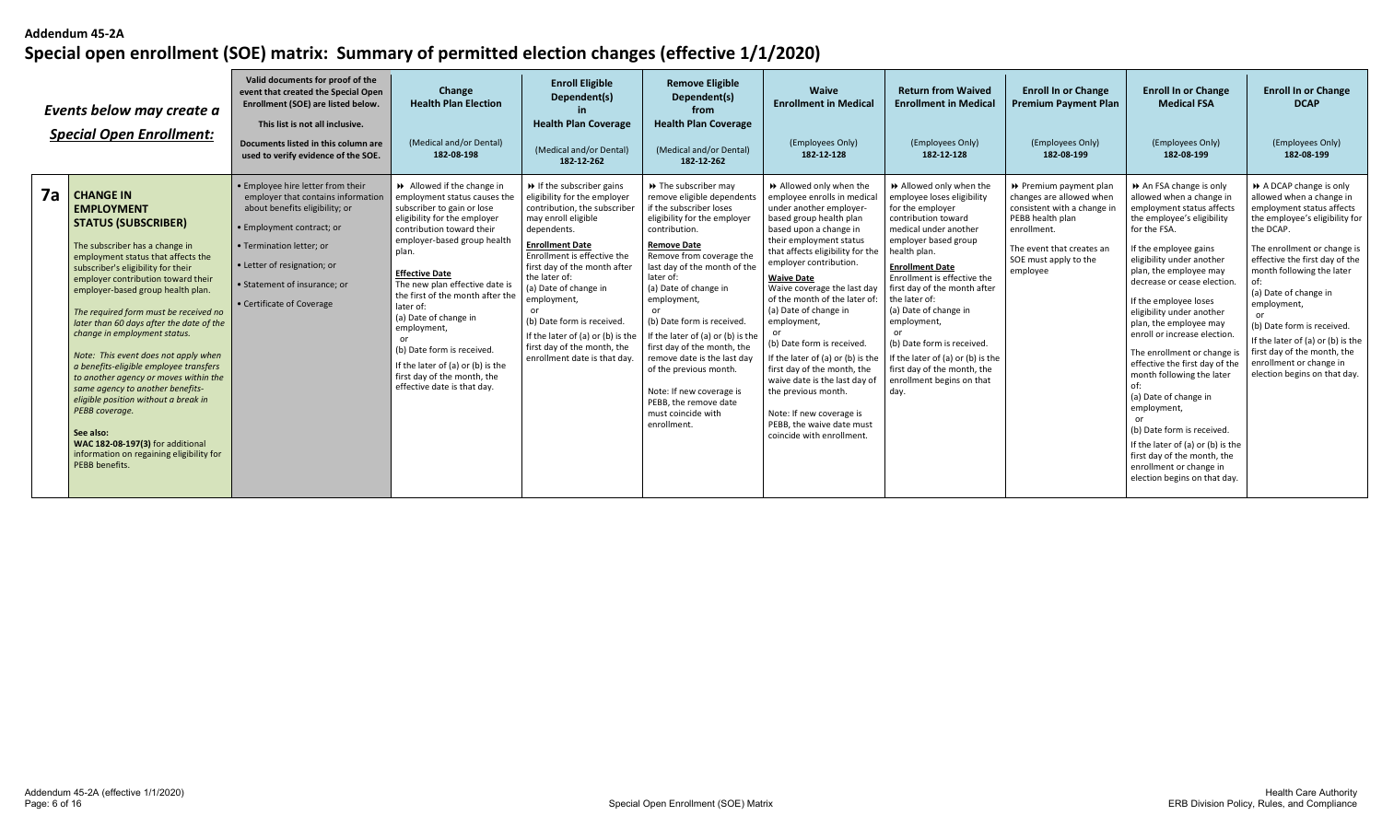|    | Events below may create a<br><b>Special Open Enrollment:</b>                                                                                                                                                                                                                                                                                                                                                                                                                                                                                                                                                                                                                                                              | Valid documents for proof of the<br>event that created the Special Open<br>Enrollment (SOE) are listed below.<br>This list is not all inclusive.<br>Documents listed in this column are<br>used to verify evidence of the SOE.                                 | Change<br><b>Health Plan Election</b><br>(Medical and/or Dental)<br>182-08-198                                                                                                                                                                                                                                                                                                                                                                                                   | <b>Enroll Eligible</b><br>Dependent(s)<br><b>Health Plan Coverage</b><br>(Medical and/or Dental)<br>182-12-262                                                                                                                                                                                                                                                                                                                           | <b>Remove Eligible</b><br>Dependent(s)<br>from<br><b>Health Plan Coverage</b><br>(Medical and/or Dental)<br>182-12-262                                                                                                                                                                                                                                                                                                                                                                                                           | Waive<br><b>Enrollment in Medical</b><br>(Employees Only)<br>182-12-128                                                                                                                                                                                                                                                                                                                                                                                                                                                                                                                                    | <b>Return from Waived</b><br><b>Enrollment in Medical</b><br>(Employees Only)<br>182-12-128                                                                                                                                                                                                                                                                                                                                                                 | <b>Enroll In or Change</b><br><b>Premium Payment Plan</b><br>(Employees Only)<br>182-08-199                                                                                            | <b>Enroll In or Change</b><br><b>Medical FSA</b><br>(Employees Only)<br>182-08-199                                                                                                                                                                                                                                                                                                                                                                                                                                                                                                                                                                          | <b>Enroll In or Change</b><br><b>DCAP</b><br>(Employees Only)<br>182-08-199                                                                                                                                                                                                                                                                                                                                                      |
|----|---------------------------------------------------------------------------------------------------------------------------------------------------------------------------------------------------------------------------------------------------------------------------------------------------------------------------------------------------------------------------------------------------------------------------------------------------------------------------------------------------------------------------------------------------------------------------------------------------------------------------------------------------------------------------------------------------------------------------|----------------------------------------------------------------------------------------------------------------------------------------------------------------------------------------------------------------------------------------------------------------|----------------------------------------------------------------------------------------------------------------------------------------------------------------------------------------------------------------------------------------------------------------------------------------------------------------------------------------------------------------------------------------------------------------------------------------------------------------------------------|------------------------------------------------------------------------------------------------------------------------------------------------------------------------------------------------------------------------------------------------------------------------------------------------------------------------------------------------------------------------------------------------------------------------------------------|----------------------------------------------------------------------------------------------------------------------------------------------------------------------------------------------------------------------------------------------------------------------------------------------------------------------------------------------------------------------------------------------------------------------------------------------------------------------------------------------------------------------------------|------------------------------------------------------------------------------------------------------------------------------------------------------------------------------------------------------------------------------------------------------------------------------------------------------------------------------------------------------------------------------------------------------------------------------------------------------------------------------------------------------------------------------------------------------------------------------------------------------------|-------------------------------------------------------------------------------------------------------------------------------------------------------------------------------------------------------------------------------------------------------------------------------------------------------------------------------------------------------------------------------------------------------------------------------------------------------------|----------------------------------------------------------------------------------------------------------------------------------------------------------------------------------------|-------------------------------------------------------------------------------------------------------------------------------------------------------------------------------------------------------------------------------------------------------------------------------------------------------------------------------------------------------------------------------------------------------------------------------------------------------------------------------------------------------------------------------------------------------------------------------------------------------------------------------------------------------------|----------------------------------------------------------------------------------------------------------------------------------------------------------------------------------------------------------------------------------------------------------------------------------------------------------------------------------------------------------------------------------------------------------------------------------|
| 7a | <b>CHANGE IN</b><br><b>EMPLOYMENT</b><br><b>STATUS (SUBSCRIBER)</b><br>The subscriber has a change in<br>employment status that affects the<br>subscriber's eligibility for their<br>employer contribution toward their<br>employer-based group health plan.<br>The required form must be received no<br>later than 60 days after the date of the<br>change in employment status.<br>Note: This event does not apply when<br>a benefits-eligible employee transfers<br>to another agency or moves within the<br>same agency to another benefits-<br>eligible position without a break in<br>PEBB coverage.<br>See also:<br>WAC 182-08-197(3) for additional<br>information on regaining eligibility for<br>PEBB benefits. | • Employee hire letter from their<br>employer that contains information<br>about benefits eligibility; or<br>• Employment contract; or<br>• Termination letter: or<br>• Letter of resignation; or<br>• Statement of insurance; or<br>• Certificate of Coverage | Allowed if the change in<br>employment status causes the<br>subscriber to gain or lose<br>eligibility for the employer<br>contribution toward their<br>employer-based group health<br>plan.<br><b>Effective Date</b><br>The new plan effective date is<br>the first of the month after the<br>later of:<br>(a) Date of change in<br>employment,<br>(b) Date form is received.<br>If the later of (a) or (b) is the<br>first day of the month, the<br>effective date is that day. | $\triangleright$ If the subscriber gains<br>eligibility for the employer<br>contribution, the subscriber<br>may enroll eligible<br>dependents.<br><b>Enrollment Date</b><br>Enrollment is effective the<br>first day of the month after<br>the later of:<br>(a) Date of change in<br>employment,<br>or<br>(b) Date form is received.<br>If the later of (a) or (b) is the<br>first day of the month, the<br>enrollment date is that day. | >> The subscriber may<br>remove eligible dependents<br>if the subscriber loses<br>eligibility for the employer<br>contribution.<br><b>Remove Date</b><br>Remove from coverage the<br>last day of the month of the<br>later of:<br>(a) Date of change in<br>employment,<br>or<br>(b) Date form is received<br>If the later of (a) or (b) is the<br>first day of the month, the<br>remove date is the last day<br>of the previous month.<br>Note: If new coverage is<br>PEBB, the remove date<br>must coincide with<br>enrollment. | Allowed only when the<br>employee enrolls in medical<br>under another employer-<br>based group health plan<br>based upon a change in<br>their employment status<br>that affects eligibility for the<br>employer contribution.<br><b>Waive Date</b><br>Waive coverage the last day<br>of the month of the later of:<br>(a) Date of change in<br>employment,<br>(b) Date form is received.<br>If the later of (a) or (b) is the<br>first day of the month, the<br>waive date is the last day of<br>the previous month.<br>Note: If new coverage is<br>PEBB, the waive date must<br>coincide with enrollment. | >> Allowed only when the<br>employee loses eligibility<br>for the employer<br>contribution toward<br>medical under another<br>employer based group<br>health plan.<br><b>Enrollment Date</b><br>Enrollment is effective the<br>first day of the month after<br>the later of:<br>(a) Date of change in<br>employment,<br>(b) Date form is received.<br>If the later of (a) or (b) is the<br>first day of the month, the<br>enrollment begins on that<br>dav. | ▶ Premium payment plan<br>changes are allowed when<br>consistent with a change in<br>PEBB health plan<br>enrollment.<br>The event that creates an<br>SOE must apply to the<br>employee | An FSA change is only<br>allowed when a change in<br>employment status affects<br>the employee's eligibility<br>for the FSA.<br>If the employee gains<br>eligibility under another<br>plan, the employee may<br>decrease or cease election.<br>If the employee loses<br>eligibility under another<br>plan, the employee may<br>enroll or increase election.<br>The enrollment or change<br>effective the first day of the<br>month following the later<br>(a) Date of change in<br>employment,<br>(b) Date form is received.<br>If the later of (a) or (b) is the<br>first day of the month, the<br>enrollment or change in<br>election begins on that day. | A DCAP change is only<br>allowed when a change in<br>employment status affects<br>the employee's eligibility for<br>the DCAP.<br>The enrollment or change is<br>effective the first day of the<br>month following the later<br>(a) Date of change in<br>employment,<br>(b) Date form is received.<br>If the later of (a) or (b) is the<br>first day of the month, the<br>enrollment or change in<br>election begins on that day. |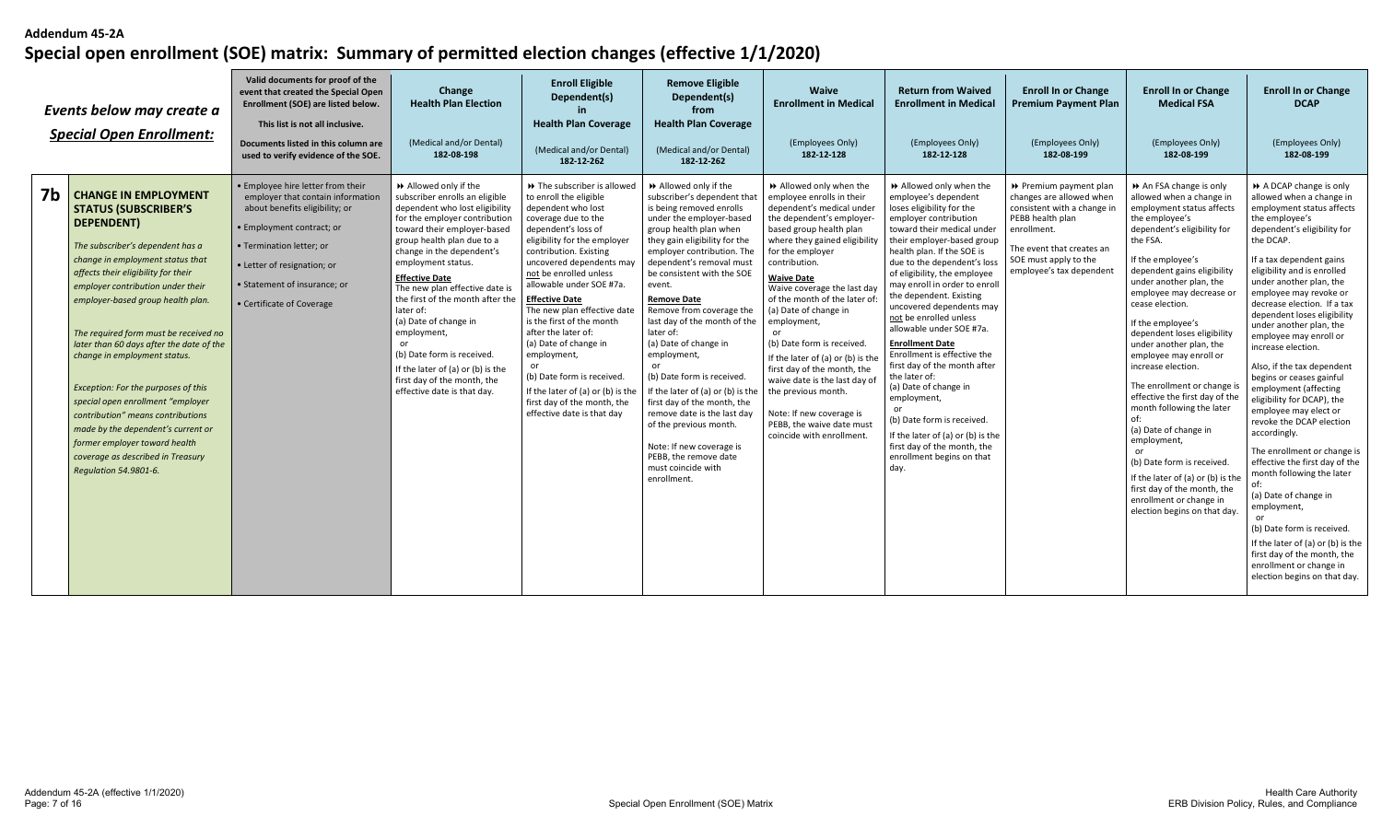|                | Events below may create a<br><b>Special Open Enrollment:</b>                                                                                                                                                                                                                                                                                                                                                                                                                                                                                                                                                                                 | Valid documents for proof of the<br>event that created the Special Open<br>Enrollment (SOE) are listed below.<br>This list is not all inclusive.<br>Documents listed in this column are<br>used to verify evidence of the SOE.                                | Change<br><b>Health Plan Election</b><br>(Medical and/or Dental)<br>182-08-198                                                                                                                                                                                                                                                                                                                                                                                                                                                | <b>Enroll Eligible</b><br>Dependent(s)<br><b>Health Plan Coverage</b><br>(Medical and/or Dental)<br>182-12-262                                                                                                                                                                                                                                                                                                                                                                                                                                           | <b>Remove Eligible</b><br>Dependent(s)<br>from<br><b>Health Plan Coverage</b><br>(Medical and/or Dental)<br>182-12-262                                                                                                                                                                                                                                                                                                                                                                                                                                                                                                                                             | Waive<br><b>Enrollment in Medical</b><br>(Employees Only)<br>182-12-128                                                                                                                                                                                                                                                                                                                                                                                                                                                                                                                     | <b>Return from Waived</b><br><b>Enrollment in Medical</b><br>(Employees Only)<br>182-12-128                                                                                                                                                                                                                                                                                                                                                                                                                                                                                                                                                                                                         | <b>Enroll In or Change</b><br><b>Premium Payment Plan</b><br>(Employees Only)<br>182-08-199                                                                                                            | <b>Enroll In or Change</b><br><b>Medical FSA</b><br>(Employees Only)<br>182-08-199                                                                                                                                                                                                                                                                                                                                                                                                                                                                                                                                                                                                                                       | <b>Enroll In or Change</b><br><b>DCAP</b><br>(Employees Only)<br>182-08-199                                                                                                                                                                                                                                                                                                                                                                                                                                                                                                                                                                                                                                                                                                                                                                                                                    |
|----------------|----------------------------------------------------------------------------------------------------------------------------------------------------------------------------------------------------------------------------------------------------------------------------------------------------------------------------------------------------------------------------------------------------------------------------------------------------------------------------------------------------------------------------------------------------------------------------------------------------------------------------------------------|---------------------------------------------------------------------------------------------------------------------------------------------------------------------------------------------------------------------------------------------------------------|-------------------------------------------------------------------------------------------------------------------------------------------------------------------------------------------------------------------------------------------------------------------------------------------------------------------------------------------------------------------------------------------------------------------------------------------------------------------------------------------------------------------------------|----------------------------------------------------------------------------------------------------------------------------------------------------------------------------------------------------------------------------------------------------------------------------------------------------------------------------------------------------------------------------------------------------------------------------------------------------------------------------------------------------------------------------------------------------------|--------------------------------------------------------------------------------------------------------------------------------------------------------------------------------------------------------------------------------------------------------------------------------------------------------------------------------------------------------------------------------------------------------------------------------------------------------------------------------------------------------------------------------------------------------------------------------------------------------------------------------------------------------------------|---------------------------------------------------------------------------------------------------------------------------------------------------------------------------------------------------------------------------------------------------------------------------------------------------------------------------------------------------------------------------------------------------------------------------------------------------------------------------------------------------------------------------------------------------------------------------------------------|-----------------------------------------------------------------------------------------------------------------------------------------------------------------------------------------------------------------------------------------------------------------------------------------------------------------------------------------------------------------------------------------------------------------------------------------------------------------------------------------------------------------------------------------------------------------------------------------------------------------------------------------------------------------------------------------------------|--------------------------------------------------------------------------------------------------------------------------------------------------------------------------------------------------------|--------------------------------------------------------------------------------------------------------------------------------------------------------------------------------------------------------------------------------------------------------------------------------------------------------------------------------------------------------------------------------------------------------------------------------------------------------------------------------------------------------------------------------------------------------------------------------------------------------------------------------------------------------------------------------------------------------------------------|------------------------------------------------------------------------------------------------------------------------------------------------------------------------------------------------------------------------------------------------------------------------------------------------------------------------------------------------------------------------------------------------------------------------------------------------------------------------------------------------------------------------------------------------------------------------------------------------------------------------------------------------------------------------------------------------------------------------------------------------------------------------------------------------------------------------------------------------------------------------------------------------|
| 7 <sub>b</sub> | <b>CHANGE IN EMPLOYMENT</b><br><b>STATUS (SUBSCRIBER'S</b><br>DEPENDENT)<br>The subscriber's dependent has a<br>change in employment status that<br>affects their eligibility for their<br>employer contribution under their<br>employer-based group health plan.<br>The required form must be received no<br>later than 60 days after the date of the<br>change in employment status.<br>Exception: For the purposes of this<br>special open enrollment "employer<br>contribution" means contributions<br>made by the dependent's current or<br>former employer toward health<br>coverage as described in Treasury<br>Regulation 54.9801-6. | • Employee hire letter from their<br>employer that contain information<br>about benefits eligibility; or<br>· Employment contract; or<br>· Termination letter; or<br>• Letter of resignation; or<br>• Statement of insurance; or<br>• Certificate of Coverage | Allowed only if the<br>subscriber enrolls an eligible<br>dependent who lost eligibility<br>for the employer contribution<br>toward their employer-based<br>group health plan due to a<br>change in the dependent's<br>employment status.<br><b>Effective Date</b><br>The new plan effective date is<br>the first of the month after the<br>later of:<br>(a) Date of change in<br>employment,<br>(b) Date form is received.<br>If the later of (a) or (b) is the<br>first day of the month, the<br>effective date is that day. | ▶ The subscriber is allowed<br>to enroll the eligible<br>dependent who lost<br>coverage due to the<br>dependent's loss of<br>eligibility for the employer<br>contribution. Existing<br>uncovered dependents may<br>not be enrolled unless<br>allowable under SOE #7a.<br><b>Effective Date</b><br>The new plan effective date<br>is the first of the month<br>after the later of:<br>(a) Date of change in<br>employment,<br>(b) Date form is received<br>If the later of (a) or (b) is the<br>first day of the month, the<br>effective date is that day | Allowed only if the<br>subscriber's dependent that<br>is being removed enrolls<br>under the employer-based<br>group health plan when<br>they gain eligibility for the<br>employer contribution. The<br>dependent's removal must<br>be consistent with the SOE<br>event.<br><b>Remove Date</b><br>Remove from coverage the<br>last day of the month of the<br>later of:<br>(a) Date of change in<br>employment,<br>(b) Date form is received<br>If the later of (a) or (b) is the<br>first day of the month, the<br>remove date is the last day<br>of the previous month.<br>Note: If new coverage is<br>PEBB, the remove date<br>must coincide with<br>enrollment. | >> Allowed only when the<br>employee enrolls in their<br>dependent's medical under<br>the dependent's employer<br>based group health plan<br>where they gained eligibility<br>for the employer<br>contribution.<br><b>Waive Date</b><br>Waive coverage the last day<br>of the month of the later of<br>(a) Date of change in<br>employment,<br>(b) Date form is received.<br>If the later of (a) or (b) is the<br>first day of the month, the<br>waive date is the last day of<br>the previous month.<br>Note: If new coverage is<br>PEBB, the waive date must<br>coincide with enrollment. | Allowed only when the<br>employee's dependent<br>loses eligibility for the<br>employer contribution<br>toward their medical under<br>their employer-based group<br>health plan. If the SOE is<br>due to the dependent's loss<br>of eligibility, the employee<br>may enroll in order to enroll<br>the dependent. Existing<br>uncovered dependents may<br>not be enrolled unless<br>allowable under SOE #7a.<br><b>Enrollment Date</b><br>Enrollment is effective the<br>first day of the month after<br>the later of:<br>(a) Date of change in<br>employment,<br>(b) Date form is received.<br>If the later of (a) or (b) is the<br>first day of the month, the<br>enrollment begins on that<br>day. | ▶ Premium payment plan<br>changes are allowed when<br>consistent with a change in<br>PEBB health plan<br>enrollment.<br>The event that creates an<br>SOE must apply to the<br>employee's tax dependent | An FSA change is only<br>allowed when a change in<br>employment status affects<br>the employee's<br>dependent's eligibility for<br>the FSA.<br>If the employee's<br>dependent gains eligibility<br>under another plan, the<br>employee may decrease or<br>cease election.<br>If the employee's<br>dependent loses eligibility<br>under another plan, the<br>employee may enroll or<br>increase election.<br>The enrollment or change is<br>effective the first day of the<br>month following the later<br>of:<br>(a) Date of change in<br>employment,<br>or<br>(b) Date form is received.<br>If the later of (a) or (b) is the<br>first day of the month, the<br>enrollment or change in<br>election begins on that day. | A DCAP change is only<br>allowed when a change in<br>employment status affects<br>the employee's<br>dependent's eligibility for<br>the DCAP.<br>If a tax dependent gains<br>eligibility and is enrolled<br>under another plan, the<br>employee may revoke or<br>decrease election. If a tax<br>dependent loses eligibility<br>under another plan, the<br>employee may enroll or<br>increase election.<br>Also, if the tax dependent<br>begins or ceases gainful<br>employment (affecting<br>eligibility for DCAP), the<br>employee may elect or<br>revoke the DCAP election<br>accordingly.<br>The enrollment or change is<br>effective the first day of the<br>month following the later<br>(a) Date of change in<br>employment,<br>(b) Date form is received.<br>If the later of (a) or (b) is the<br>first day of the month, the<br>enrollment or change in<br>election begins on that day. |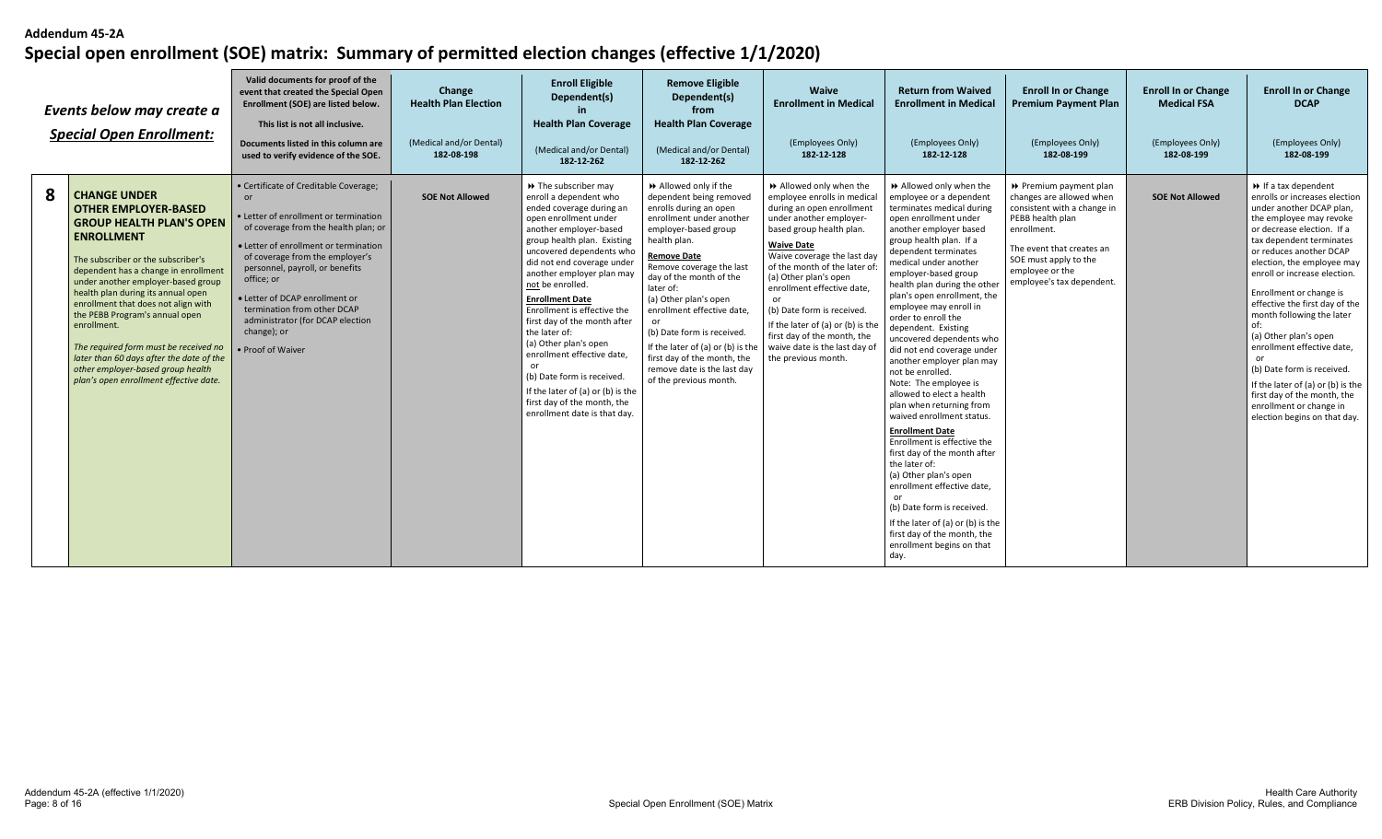|   | Events below may create a<br><b>Special Open Enrollment:</b>                                                                                                                                                                                                                                                                                                                                                                                                                                                                     | Valid documents for proof of the<br>event that created the Special Open<br>Enrollment (SOE) are listed below.<br>This list is not all inclusive.<br>Documents listed in this column are<br>used to verify evidence of the SOE.                                                                                                                                                                     | Change<br><b>Health Plan Election</b><br>(Medical and/or Dental)<br>182-08-198 | <b>Enroll Eligible</b><br>Dependent(s)<br><b>Health Plan Coverage</b><br>(Medical and/or Dental)                                                                                                                                                                                                                                                                                                                                                                                                                                                                                               | <b>Remove Eligible</b><br>Dependent(s)<br>from<br><b>Health Plan Coverage</b><br>(Medical and/or Dental)                                                                                                                                                                                                                                                                                                                                                              | <b>Waive</b><br><b>Enrollment in Medical</b><br>(Employees Only)<br>182-12-128                                                                                                                                                                                                                                                                                                                                                                         | <b>Return from Waived</b><br><b>Enrollment in Medical</b><br>(Employees Only)<br>182-12-128                                                                                                                                                                                                                                                                                                                                                                                                                                                                                                                                                                                                                                                                                                                                                                                                                         | <b>Enroll In or Change</b><br><b>Premium Payment Plan</b><br>(Employees Only)<br>182-08-199                                                                                                                                | <b>Enroll In or Change</b><br><b>Medical FSA</b><br>(Employees Only)<br>182-08-199 | <b>Enroll In or Change</b><br><b>DCAP</b><br>(Employees Only)<br>182-08-199                                                                                                                                                                                                                                                                                                                                                                                                                                                                                                                      |
|---|----------------------------------------------------------------------------------------------------------------------------------------------------------------------------------------------------------------------------------------------------------------------------------------------------------------------------------------------------------------------------------------------------------------------------------------------------------------------------------------------------------------------------------|----------------------------------------------------------------------------------------------------------------------------------------------------------------------------------------------------------------------------------------------------------------------------------------------------------------------------------------------------------------------------------------------------|--------------------------------------------------------------------------------|------------------------------------------------------------------------------------------------------------------------------------------------------------------------------------------------------------------------------------------------------------------------------------------------------------------------------------------------------------------------------------------------------------------------------------------------------------------------------------------------------------------------------------------------------------------------------------------------|-----------------------------------------------------------------------------------------------------------------------------------------------------------------------------------------------------------------------------------------------------------------------------------------------------------------------------------------------------------------------------------------------------------------------------------------------------------------------|--------------------------------------------------------------------------------------------------------------------------------------------------------------------------------------------------------------------------------------------------------------------------------------------------------------------------------------------------------------------------------------------------------------------------------------------------------|---------------------------------------------------------------------------------------------------------------------------------------------------------------------------------------------------------------------------------------------------------------------------------------------------------------------------------------------------------------------------------------------------------------------------------------------------------------------------------------------------------------------------------------------------------------------------------------------------------------------------------------------------------------------------------------------------------------------------------------------------------------------------------------------------------------------------------------------------------------------------------------------------------------------|----------------------------------------------------------------------------------------------------------------------------------------------------------------------------------------------------------------------------|------------------------------------------------------------------------------------|--------------------------------------------------------------------------------------------------------------------------------------------------------------------------------------------------------------------------------------------------------------------------------------------------------------------------------------------------------------------------------------------------------------------------------------------------------------------------------------------------------------------------------------------------------------------------------------------------|
| 8 | <b>CHANGE UNDER</b><br><b>OTHER EMPLOYER-BASED</b><br><b>GROUP HEALTH PLAN'S OPEN</b><br><b>ENROLLMENT</b><br>The subscriber or the subscriber's<br>dependent has a change in enrollment<br>under another employer-based group<br>health plan during its annual open<br>enrollment that does not align with<br>the PEBB Program's annual open<br>enrollment.<br>The required form must be received no<br>later than 60 days after the date of the<br>other employer-based group health<br>plan's open enrollment effective date. | • Certificate of Creditable Coverage;<br>or<br>· Letter of enrollment or termination<br>of coverage from the health plan; or<br>• Letter of enrollment or termination<br>of coverage from the employer's<br>personnel, payroll, or benefits<br>office; or<br>• Letter of DCAP enrollment or<br>termination from other DCAP<br>administrator (for DCAP election<br>change); or<br>• Proof of Waiver | <b>SOE Not Allowed</b>                                                         | 182-12-262<br>→ The subscriber may<br>enroll a dependent who<br>ended coverage during an<br>open enrollment under<br>another employer-based<br>group health plan. Existing<br>uncovered dependents who<br>did not end coverage under<br>another employer plan may<br>not be enrolled.<br><b>Enrollment Date</b><br>Enrollment is effective the<br>first day of the month after<br>the later of:<br>(a) Other plan's open<br>enrollment effective date,<br>or<br>(b) Date form is received.<br>If the later of (a) or (b) is the<br>first day of the month, the<br>enrollment date is that day. | 182-12-262<br>Allowed only if the<br>dependent being removed<br>enrolls during an open<br>enrollment under another<br>employer-based group<br>health plan.<br>Remove Date<br>Remove coverage the last<br>day of the month of the<br>later of:<br>(a) Other plan's open<br>enrollment effective date,<br>or<br>(b) Date form is received.<br>If the later of (a) or (b) is the<br>first day of the month, the<br>remove date is the last day<br>of the previous month. | >> Allowed only when the<br>employee enrolls in medical<br>during an open enrollment<br>under another employer-<br>based group health plan.<br><b>Waive Date</b><br>Waive coverage the last day<br>of the month of the later of<br>(a) Other plan's open<br>enrollment effective date,<br>or<br>(b) Date form is received.<br>If the later of (a) or (b) is the<br>first day of the month, the<br>waive date is the last day of<br>the previous month. | Allowed only when the<br>employee or a dependent<br>terminates medical during<br>open enrollment under<br>another employer based<br>group health plan. If a<br>dependent terminates<br>medical under another<br>employer-based group<br>health plan during the other<br>plan's open enrollment, the<br>employee may enroll in<br>order to enroll the<br>dependent. Existing<br>uncovered dependents who<br>did not end coverage under<br>another employer plan may<br>not be enrolled.<br>Note: The employee is<br>allowed to elect a health<br>plan when returning from<br>waived enrollment status.<br><b>Enrollment Date</b><br>Enrollment is effective the<br>first day of the month after<br>the later of:<br>(a) Other plan's open<br>enrollment effective date,<br>or<br>(b) Date form is received.<br>If the later of (a) or (b) is the<br>first day of the month, the<br>enrollment begins on that<br>day. | ▶ Premium payment plan<br>changes are allowed when<br>consistent with a change in<br>PEBB health plan<br>enrollment.<br>The event that creates an<br>SOE must apply to the<br>employee or the<br>employee's tax dependent. | <b>SOE Not Allowed</b>                                                             | $\rightarrow$ If a tax dependent<br>enrolls or increases election<br>under another DCAP plan.<br>the employee may revoke<br>or decrease election. If a<br>tax dependent terminates<br>or reduces another DCAP<br>election, the employee may<br>enroll or increase election.<br>Enrollment or change is<br>effective the first day of the<br>month following the later<br>of:<br>(a) Other plan's open<br>enrollment effective date,<br>(b) Date form is received.<br>If the later of (a) or (b) is the<br>first day of the month, the<br>enrollment or change in<br>election begins on that day. |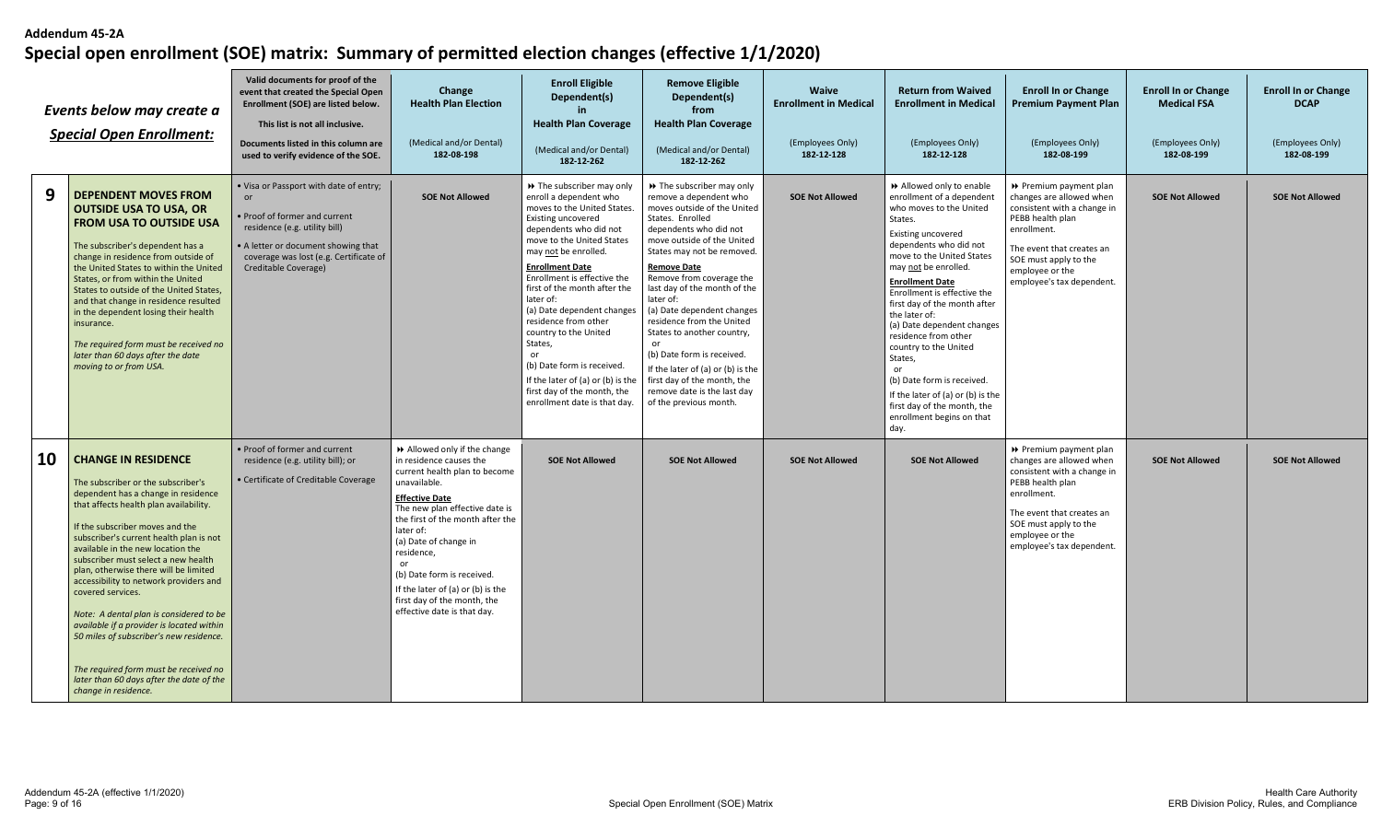|    | Events below may create a<br><b>Special Open Enrollment:</b>                                                                                                                                                                                                                                                                                                                                                                                                                                                                                                                                                                                                        | Valid documents for proof of the<br>event that created the Special Open<br>Enrollment (SOE) are listed below.<br>This list is not all inclusive.<br>Documents listed in this column are<br>used to verify evidence of the SOE. | Change<br><b>Health Plan Election</b><br>(Medical and/or Dental)<br>182-08-198                                                                                                                                                                                                                                                                                                                   | <b>Enroll Eligible</b><br>Dependent(s)<br>in.<br><b>Health Plan Coverage</b><br>(Medical and/or Dental)<br>182-12-262                                                                                                                                                                                                                                                                                                                                                                                                      | <b>Remove Eligible</b><br>Dependent(s)<br>from<br><b>Health Plan Coverage</b><br>(Medical and/or Dental)<br>182-12-262                                                                                                                                                                                                                                                                                                                                                                                                                                 | <b>Waive</b><br><b>Enrollment in Medical</b><br>(Employees Only)<br>182-12-128 | <b>Return from Waived</b><br><b>Enrollment in Medical</b><br>(Employees Only)<br>182-12-128                                                                                                                                                                                                                                                                                                                                                                                                                                                     | <b>Enroll In or Change</b><br>Premium Payment Plan<br>(Employees Only)<br>182-08-199                                                                                                                                       | <b>Enroll In or Change</b><br><b>Medical FSA</b><br>(Employees Only)<br>182-08-199 | <b>Enroll In or Change</b><br><b>DCAP</b><br>(Employees Only)<br>182-08-199 |
|----|---------------------------------------------------------------------------------------------------------------------------------------------------------------------------------------------------------------------------------------------------------------------------------------------------------------------------------------------------------------------------------------------------------------------------------------------------------------------------------------------------------------------------------------------------------------------------------------------------------------------------------------------------------------------|--------------------------------------------------------------------------------------------------------------------------------------------------------------------------------------------------------------------------------|--------------------------------------------------------------------------------------------------------------------------------------------------------------------------------------------------------------------------------------------------------------------------------------------------------------------------------------------------------------------------------------------------|----------------------------------------------------------------------------------------------------------------------------------------------------------------------------------------------------------------------------------------------------------------------------------------------------------------------------------------------------------------------------------------------------------------------------------------------------------------------------------------------------------------------------|--------------------------------------------------------------------------------------------------------------------------------------------------------------------------------------------------------------------------------------------------------------------------------------------------------------------------------------------------------------------------------------------------------------------------------------------------------------------------------------------------------------------------------------------------------|--------------------------------------------------------------------------------|-------------------------------------------------------------------------------------------------------------------------------------------------------------------------------------------------------------------------------------------------------------------------------------------------------------------------------------------------------------------------------------------------------------------------------------------------------------------------------------------------------------------------------------------------|----------------------------------------------------------------------------------------------------------------------------------------------------------------------------------------------------------------------------|------------------------------------------------------------------------------------|-----------------------------------------------------------------------------|
| 9  | <b>DEPENDENT MOVES FROM</b><br><b>OUTSIDE USA TO USA, OR</b><br><b>FROM USA TO OUTSIDE USA</b><br>The subscriber's dependent has a<br>change in residence from outside of<br>the United States to within the United<br>States, or from within the United<br>States to outside of the United States,<br>and that change in residence resulted<br>in the dependent losing their health<br>insurance.<br>The required form must be received no<br>later than 60 days after the date<br>moving to or from USA.                                                                                                                                                          | . Visa or Passport with date of entry;<br>or<br>Proof of former and current<br>residence (e.g. utility bill)<br>A letter or document showing that<br>coverage was lost (e.g. Certificate of<br>Creditable Coverage)            | <b>SOE Not Allowed</b>                                                                                                                                                                                                                                                                                                                                                                           | >> The subscriber may only<br>enroll a dependent who<br>moves to the United States.<br>Existing uncovered<br>dependents who did not<br>move to the United States<br>may not be enrolled.<br><b>Enrollment Date</b><br>Enrollment is effective the<br>first of the month after the<br>later of:<br>(a) Date dependent changes<br>residence from other<br>country to the United<br>States.<br>(b) Date form is received.<br>If the later of (a) or (b) is the<br>first day of the month, the<br>enrollment date is that day. | >> The subscriber may only<br>remove a dependent who<br>moves outside of the United<br>States. Enrolled<br>dependents who did not<br>move outside of the United<br>States may not be removed.<br><b>Remove Date</b><br>Remove from coverage the<br>last day of the month of the<br>later of:<br>(a) Date dependent changes<br>residence from the United<br>States to another country,<br>or<br>(b) Date form is received.<br>If the later of (a) or (b) is the<br>first day of the month, the<br>remove date is the last day<br>of the previous month. | <b>SOE Not Allowed</b>                                                         | Allowed only to enable<br>enrollment of a dependent<br>who moves to the United<br>States.<br>Existing uncovered<br>dependents who did not<br>move to the United States<br>may not be enrolled.<br><b>Enrollment Date</b><br>Enrollment is effective the<br>first day of the month after<br>the later of:<br>(a) Date dependent changes<br>residence from other<br>country to the United<br>States,<br>or<br>(b) Date form is received.<br>If the later of (a) or (b) is the<br>first day of the month, the<br>enrollment begins on that<br>day. | ▶ Premium payment plan<br>changes are allowed when<br>consistent with a change in<br>PEBB health plan<br>enrollment.<br>The event that creates an<br>SOE must apply to the<br>employee or the<br>employee's tax dependent. | <b>SOE Not Allowed</b>                                                             | <b>SOE Not Allowed</b>                                                      |
| 10 | <b>CHANGE IN RESIDENCE</b><br>The subscriber or the subscriber's<br>dependent has a change in residence<br>that affects health plan availability.<br>If the subscriber moves and the<br>subscriber's current health plan is not<br>available in the new location the<br>subscriber must select a new health<br>plan, otherwise there will be limited<br>accessibility to network providers and<br>covered services.<br>Note: A dental plan is considered to be<br>available if a provider is located within<br>50 miles of subscriber's new residence.<br>The required form must be received no<br>later than 60 days after the date of the<br>change in residence. | • Proof of former and current<br>residence (e.g. utility bill); or<br>• Certificate of Creditable Coverage                                                                                                                     | Allowed only if the change<br>in residence causes the<br>current health plan to become<br>unavailable.<br><b>Effective Date</b><br>The new plan effective date is<br>the first of the month after the<br>later of:<br>(a) Date of change in<br>residence,<br>or<br>(b) Date form is received.<br>If the later of (a) or (b) is the<br>first day of the month, the<br>effective date is that day. | <b>SOE Not Allowed</b>                                                                                                                                                                                                                                                                                                                                                                                                                                                                                                     | <b>SOE Not Allowed</b>                                                                                                                                                                                                                                                                                                                                                                                                                                                                                                                                 | <b>SOE Not Allowed</b>                                                         | <b>SOE Not Allowed</b>                                                                                                                                                                                                                                                                                                                                                                                                                                                                                                                          | ▶ Premium payment plan<br>changes are allowed when<br>consistent with a change in<br>PEBB health plan<br>enrollment.<br>The event that creates an<br>SOE must apply to the<br>employee or the<br>employee's tax dependent. | <b>SOE Not Allowed</b>                                                             | <b>SOE Not Allowed</b>                                                      |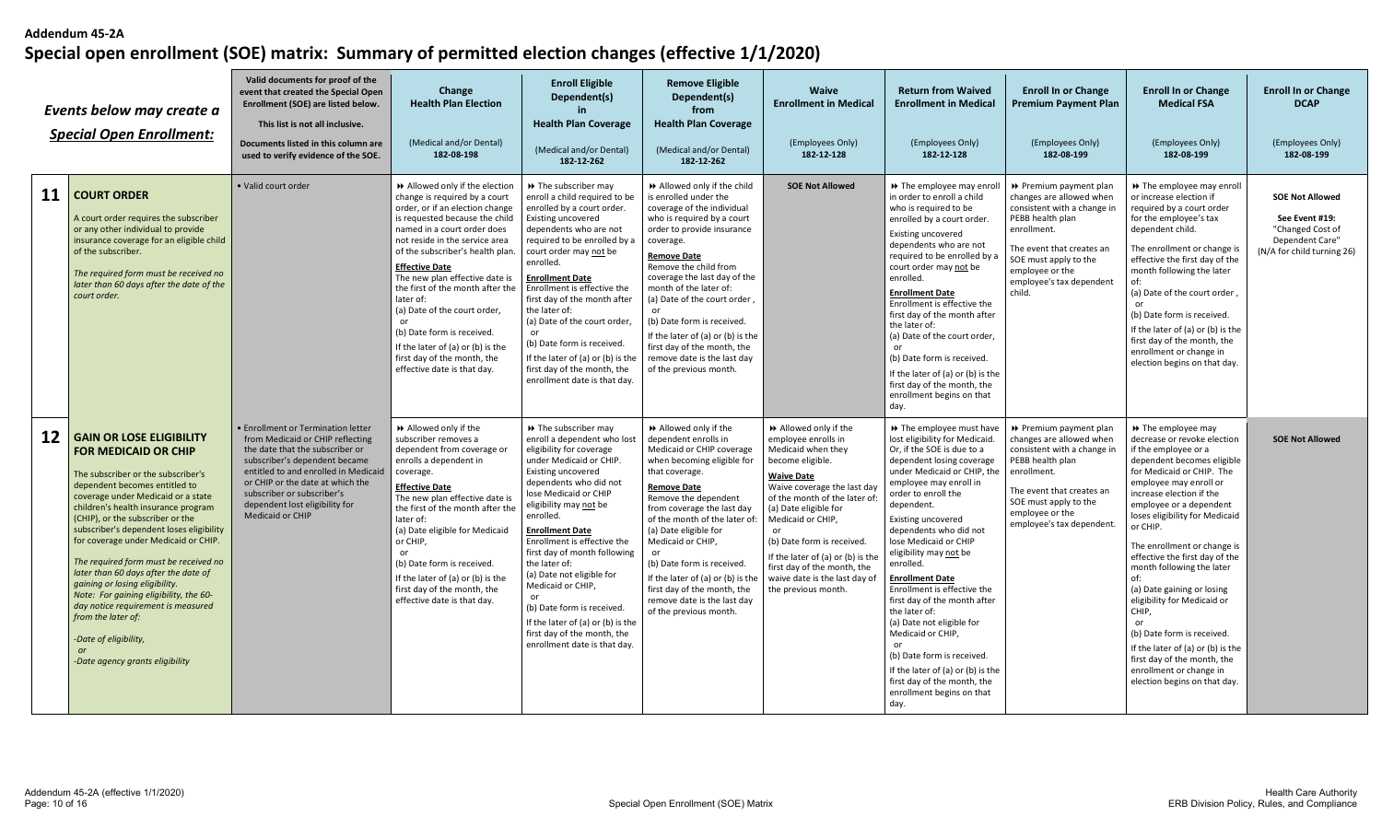|           | Events below may create a<br><b>Special Open Enrollment:</b>                                                                                                                                                                                                                                                                                                                                                                                                                                                                                                                                                                                  | Valid documents for proof of the<br>event that created the Special Open<br>Enrollment (SOE) are listed below.<br>This list is not all inclusive.<br>Documents listed in this column are<br>used to verify evidence of the SOE.                                                                                           | Change<br><b>Health Plan Election</b><br>(Medical and/or Dental)<br>182-08-198                                                                                                                                                                                                                                                                                                                                                                                                                                       | <b>Enroll Eligible</b><br>Dependent(s)<br>in.<br><b>Health Plan Coverage</b><br>(Medical and/or Dental)<br>182-12-262                                                                                                                                                                                                                                                                                                                                                                                                     | <b>Remove Eligible</b><br>Dependent(s)<br>from<br><b>Health Plan Coverage</b><br>(Medical and/or Dental)<br>182-12-262                                                                                                                                                                                                                                                                                                                                           | <b>Waive</b><br><b>Enrollment in Medical</b><br>(Employees Only)<br>182-12-128                                                                                                                                                                                                                                                                                                      | <b>Return from Waived</b><br><b>Enrollment in Medical</b><br>(Employees Only)<br>182-12-128                                                                                                                                                                                                                                                                                                                                                                                                                                                                                                                                                    | <b>Enroll In or Change</b><br><b>Premium Payment Plan</b><br>(Employees Only)<br>182-08-199                                                                                                                                         | <b>Enroll In or Change</b><br><b>Medical FSA</b><br>(Employees Only)<br>182-08-199                                                                                                                                                                                                                                                                                                                                                                                                                                                                                                                                | <b>Enroll In or Change</b><br><b>DCAP</b><br>(Employees Only)<br>182-08-199                                   |
|-----------|-----------------------------------------------------------------------------------------------------------------------------------------------------------------------------------------------------------------------------------------------------------------------------------------------------------------------------------------------------------------------------------------------------------------------------------------------------------------------------------------------------------------------------------------------------------------------------------------------------------------------------------------------|--------------------------------------------------------------------------------------------------------------------------------------------------------------------------------------------------------------------------------------------------------------------------------------------------------------------------|----------------------------------------------------------------------------------------------------------------------------------------------------------------------------------------------------------------------------------------------------------------------------------------------------------------------------------------------------------------------------------------------------------------------------------------------------------------------------------------------------------------------|---------------------------------------------------------------------------------------------------------------------------------------------------------------------------------------------------------------------------------------------------------------------------------------------------------------------------------------------------------------------------------------------------------------------------------------------------------------------------------------------------------------------------|------------------------------------------------------------------------------------------------------------------------------------------------------------------------------------------------------------------------------------------------------------------------------------------------------------------------------------------------------------------------------------------------------------------------------------------------------------------|-------------------------------------------------------------------------------------------------------------------------------------------------------------------------------------------------------------------------------------------------------------------------------------------------------------------------------------------------------------------------------------|------------------------------------------------------------------------------------------------------------------------------------------------------------------------------------------------------------------------------------------------------------------------------------------------------------------------------------------------------------------------------------------------------------------------------------------------------------------------------------------------------------------------------------------------------------------------------------------------------------------------------------------------|-------------------------------------------------------------------------------------------------------------------------------------------------------------------------------------------------------------------------------------|-------------------------------------------------------------------------------------------------------------------------------------------------------------------------------------------------------------------------------------------------------------------------------------------------------------------------------------------------------------------------------------------------------------------------------------------------------------------------------------------------------------------------------------------------------------------------------------------------------------------|---------------------------------------------------------------------------------------------------------------|
| <b>11</b> | <b>COURT ORDER</b><br>A court order requires the subscriber<br>or any other individual to provide<br>insurance coverage for an eligible child<br>of the subscriber.<br>The required form must be received no<br>later than 60 days after the date of the<br>court order.                                                                                                                                                                                                                                                                                                                                                                      | · Valid court order                                                                                                                                                                                                                                                                                                      | Allowed only if the election<br>change is required by a court<br>order, or if an election change<br>is requested because the child<br>named in a court order does<br>not reside in the service area<br>of the subscriber's health plan.<br><b>Effective Date</b><br>The new plan effective date is<br>the first of the month after the<br>later of:<br>(a) Date of the court order,<br>(b) Date form is received.<br>If the later of (a) or (b) is the<br>first day of the month, the<br>effective date is that day. | >> The subscriber may<br>enroll a child required to be<br>enrolled by a court order.<br>Existing uncovered<br>dependents who are not<br>required to be enrolled by a<br>court order may not be<br>enrolled.<br><b>Enrollment Date</b><br>Enrollment is effective the<br>first day of the month after<br>the later of:<br>(a) Date of the court order,<br>or<br>(b) Date form is received.<br>If the later of (a) or (b) is the<br>first day of the month, the<br>enrollment date is that day.                             | >> Allowed only if the child<br>is enrolled under the<br>coverage of the individual<br>who is required by a court<br>order to provide insurance<br>coverage.<br><b>Remove Date</b><br>Remove the child from<br>coverage the last day of the<br>month of the later of:<br>(a) Date of the court order,<br>(b) Date form is received.<br>If the later of (a) or (b) is the<br>first day of the month, the<br>remove date is the last day<br>of the previous month. | <b>SOE Not Allowed</b>                                                                                                                                                                                                                                                                                                                                                              | >> The employee may enroll<br>in order to enroll a child<br>who is required to be<br>enrolled by a court order.<br>Existing uncovered<br>dependents who are not<br>required to be enrolled by a<br>court order may not be<br>enrolled.<br><b>Enrollment Date</b><br>Enrollment is effective the<br>first day of the month after<br>the later of:<br>(a) Date of the court order,<br>or<br>(b) Date form is received.<br>If the later of (a) or (b) is the<br>first day of the month, the<br>enrollment begins on that<br>day.                                                                                                                  | ▶ Premium payment plan<br>changes are allowed when<br>consistent with a change in<br>PEBB health plan<br>enrollment.<br>The event that creates an<br>SOE must apply to the<br>employee or the<br>employee's tax dependent<br>child. | >> The employee may enroll<br>or increase election if<br>required by a court order<br>for the employee's tax<br>dependent child.<br>The enrollment or change is<br>effective the first day of the<br>month following the later<br>(a) Date of the court order,<br>$\alpha$ r<br>(b) Date form is received.<br>If the later of (a) or (b) is the<br>first day of the month, the<br>enrollment or change in<br>election begins on that day.                                                                                                                                                                         | <b>SOE Not Allowed</b><br>See Event #19:<br>"Changed Cost of<br>Dependent Care"<br>(N/A for child turning 26) |
| 12        | <b>GAIN OR LOSE ELIGIBILITY</b><br><b>FOR MEDICAID OR CHIP</b><br>The subscriber or the subscriber's<br>dependent becomes entitled to<br>coverage under Medicaid or a state<br>children's health insurance program<br>(CHIP), or the subscriber or the<br>subscriber's dependent loses eligibility<br>for coverage under Medicaid or CHIP.<br>The required form must be received no<br>later than 60 days after the date of<br>gaining or losing eligibility.<br>Note: For gaining eligibility, the 60-<br>day notice requirement is measured<br>from the later of:<br>-Date of eligibility,<br>$\alpha$ r<br>-Date agency grants eligibility | <b>• Enrollment or Termination letter</b><br>from Medicaid or CHIP reflecting<br>the date that the subscriber or<br>subscriber's dependent became<br>entitled to and enrolled in Medicaid<br>or CHIP or the date at which the<br>subscriber or subscriber's<br>dependent lost eligibility for<br><b>Medicaid or CHIP</b> | Allowed only if the<br>subscriber removes a<br>dependent from coverage or<br>enrolls a dependent in<br>coverage.<br><b>Effective Date</b><br>The new plan effective date is<br>the first of the month after the<br>later of:<br>(a) Date eligible for Medicaid<br>or CHIP,<br>or<br>(b) Date form is received.<br>If the later of (a) or (b) is the<br>first day of the month, the<br>effective date is that day.                                                                                                    | >> The subscriber may<br>enroll a dependent who lost<br>eligibility for coverage<br>under Medicaid or CHIP.<br>Existing uncovered<br>dependents who did not<br>lose Medicaid or CHIP<br>eligibility may not be<br>enrolled.<br><b>Enrollment Date</b><br>Enrollment is effective the<br>first day of month following<br>the later of:<br>(a) Date not eligible for<br>Medicaid or CHIP,<br>(b) Date form is received.<br>If the later of (a) or (b) is the<br>first day of the month, the<br>enrollment date is that day. | Allowed only if the<br>dependent enrolls in<br>Medicaid or CHIP coverage<br>when becoming eligible for<br>that coverage.<br><b>Remove Date</b><br>Remove the dependent<br>from coverage the last day<br>of the month of the later of:<br>(a) Date eligible for<br>Medicaid or CHIP,<br>or<br>(b) Date form is received<br>If the later of (a) or (b) is the<br>first day of the month, the<br>remove date is the last day<br>of the previous month.              | >> Allowed only if the<br>employee enrolls in<br>Medicaid when they<br>become eligible.<br><b>Waive Date</b><br>Waive coverage the last day<br>of the month of the later of<br>(a) Date eligible for<br>Medicaid or CHIP,<br>(b) Date form is received.<br>If the later of (a) or (b) is the<br>first day of the month, the<br>waive date is the last day of<br>the previous month. | >> The employee must have<br>lost eligibility for Medicaid.<br>Or, if the SOE is due to a<br>dependent losing coverage<br>under Medicaid or CHIP, the<br>employee may enroll in<br>order to enroll the<br>dependent.<br><b>Existing uncovered</b><br>dependents who did not<br>lose Medicaid or CHIP<br>eligibility may not be<br>enrolled.<br><b>Enrollment Date</b><br>Enrollment is effective the<br>first day of the month after<br>the later of:<br>(a) Date not eligible for<br>Medicaid or CHIP,<br>(b) Date form is received.<br>If the later of (a) or (b) is the<br>first day of the month, the<br>enrollment begins on that<br>day. | ▶ Premium payment plan<br>changes are allowed when<br>consistent with a change in<br>PEBB health plan<br>enrollment.<br>The event that creates an<br>SOE must apply to the<br>employee or the<br>employee's tax dependent.          | ▶ The employee may<br>decrease or revoke election<br>if the employee or a<br>dependent becomes eligible<br>for Medicaid or CHIP. The<br>employee may enroll or<br>increase election if the<br>employee or a dependent<br>loses eligibility for Medicaid<br>or CHIP.<br>The enrollment or change is<br>effective the first day of the<br>month following the later<br>of:<br>(a) Date gaining or losing<br>eligibility for Medicaid or<br>CHIP,<br>or<br>(b) Date form is received.<br>If the later of (a) or (b) is the<br>first day of the month, the<br>enrollment or change in<br>election begins on that day. | <b>SOE Not Allowed</b>                                                                                        |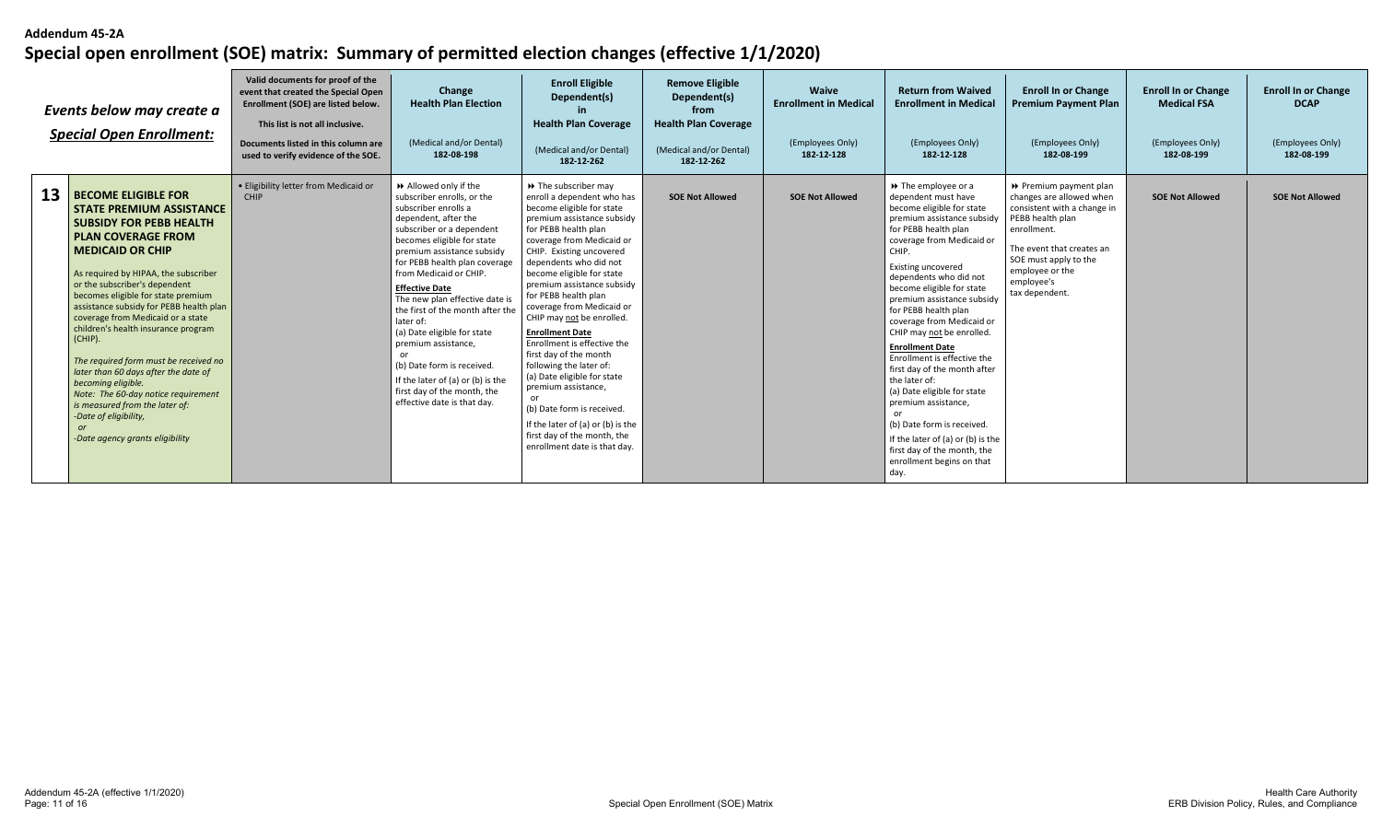|    | Events below may create a<br><b>Special Open Enrollment:</b>                                                                                                                                                                                                                                                                                                                                                                                                                                                                                                                                                                                                          | Valid documents for proof of the<br>event that created the Special Open<br>Enrollment (SOE) are listed below.<br>This list is not all inclusive.<br>Documents listed in this column are<br>used to verify evidence of the SOE. | Change<br><b>Health Plan Election</b><br>(Medical and/or Dental)<br>182-08-198                                                                                                                                                                                                                                                                                                                                                                                                                                                                           | <b>Enroll Eligible</b><br>Dependent(s)<br><b>Health Plan Coverage</b><br>(Medical and/or Dental)<br>182-12-262                                                                                                                                                                                                                                                                                                                                                                                                                                                                                                                                                                     | <b>Remove Eligible</b><br>Dependent(s)<br>from<br><b>Health Plan Coverage</b><br>(Medical and/or Dental)<br>182-12-262 | <b>Waive</b><br><b>Enrollment in Medical</b><br>(Employees Only)<br>182-12-128 | <b>Return from Waived</b><br><b>Enrollment in Medical</b><br>(Employees Only)<br>182-12-128                                                                                                                                                                                                                                                                                                                                                                                                                                                                                                                                                                                                         | <b>Enroll In or Change</b><br><b>Premium Payment Plan</b><br>(Employees Only)<br>182-08-199                                                                                                                                   | <b>Enroll In or Change</b><br><b>Medical FSA</b><br>(Employees Only)<br>182-08-199 | <b>Enroll In or Change</b><br><b>DCAP</b><br>(Employees Only)<br>182-08-199 |
|----|-----------------------------------------------------------------------------------------------------------------------------------------------------------------------------------------------------------------------------------------------------------------------------------------------------------------------------------------------------------------------------------------------------------------------------------------------------------------------------------------------------------------------------------------------------------------------------------------------------------------------------------------------------------------------|--------------------------------------------------------------------------------------------------------------------------------------------------------------------------------------------------------------------------------|----------------------------------------------------------------------------------------------------------------------------------------------------------------------------------------------------------------------------------------------------------------------------------------------------------------------------------------------------------------------------------------------------------------------------------------------------------------------------------------------------------------------------------------------------------|------------------------------------------------------------------------------------------------------------------------------------------------------------------------------------------------------------------------------------------------------------------------------------------------------------------------------------------------------------------------------------------------------------------------------------------------------------------------------------------------------------------------------------------------------------------------------------------------------------------------------------------------------------------------------------|------------------------------------------------------------------------------------------------------------------------|--------------------------------------------------------------------------------|-----------------------------------------------------------------------------------------------------------------------------------------------------------------------------------------------------------------------------------------------------------------------------------------------------------------------------------------------------------------------------------------------------------------------------------------------------------------------------------------------------------------------------------------------------------------------------------------------------------------------------------------------------------------------------------------------------|-------------------------------------------------------------------------------------------------------------------------------------------------------------------------------------------------------------------------------|------------------------------------------------------------------------------------|-----------------------------------------------------------------------------|
| 13 | <b>BECOME ELIGIBLE FOR</b><br><b>STATE PREMIUM ASSISTANCE</b><br><b>SUBSIDY FOR PEBB HEALTH</b><br><b>I PLAN COVERAGE FROM</b><br><b>I MEDICAID OR CHIP</b><br>As required by HIPAA, the subscriber<br>or the subscriber's dependent<br>becomes eligible for state premium<br>assistance subsidy for PEBB health plan<br>coverage from Medicaid or a state<br>children's health insurance program<br>(CHIP).<br>The required form must be received no<br>later than 60 days after the date of<br>becoming eligible.<br>Note: The 60-day notice requirement<br>is measured from the later of:<br>-Date of eligibility,<br><b>or</b><br>-Date agency grants eligibility | · Eligibility letter from Medicaid or<br><b>CHIP</b>                                                                                                                                                                           | Allowed only if the<br>subscriber enrolls, or the<br>subscriber enrolls a<br>dependent, after the<br>subscriber or a dependent<br>becomes eligible for state<br>premium assistance subsidy<br>for PEBB health plan coverage<br>from Medicaid or CHIP.<br><b>Effective Date</b><br>The new plan effective date is<br>the first of the month after the<br>later of:<br>(a) Date eligible for state<br>premium assistance,<br>(b) Date form is received.<br>If the later of (a) or (b) is the<br>first day of the month, the<br>effective date is that day. | >> The subscriber may<br>enroll a dependent who has<br>become eligible for state<br>premium assistance subsidy<br>for PEBB health plan<br>coverage from Medicaid or<br>CHIP. Existing uncovered<br>dependents who did not<br>become eligible for state<br>premium assistance subsidy<br>for PEBB health plan<br>coverage from Medicaid or<br>CHIP may not be enrolled.<br><b>Enrollment Date</b><br>Enrollment is effective the<br>first day of the month<br>following the later of:<br>(a) Date eligible for state<br>premium assistance,<br>or<br>(b) Date form is received.<br>If the later of (a) or (b) is the<br>first day of the month, the<br>enrollment date is that day. | <b>SOE Not Allowed</b>                                                                                                 | <b>SOE Not Allowed</b>                                                         | $\triangleright$ The employee or a<br>dependent must have<br>become eligible for state<br>premium assistance subsidy<br>for PEBB health plan<br>coverage from Medicaid or<br>CHIP.<br><b>Existing uncovered</b><br>dependents who did not<br>become eligible for state<br>premium assistance subsidy<br>for PEBB health plan<br>coverage from Medicaid or<br>CHIP may not be enrolled.<br><b>Enrollment Date</b><br>Enrollment is effective the<br>first day of the month after<br>the later of:<br>(a) Date eligible for state<br>premium assistance,<br>or<br>(b) Date form is received.<br>If the later of (a) or (b) is the<br>first day of the month, the<br>enrollment begins on that<br>day. | ▶ Premium payment plan<br>changes are allowed when<br>consistent with a change in<br>PEBB health plan<br>enrollment.<br>The event that creates an<br>SOE must apply to the<br>employee or the<br>employee's<br>tax dependent. | <b>SOE Not Allowed</b>                                                             | <b>SOE Not Allowed</b>                                                      |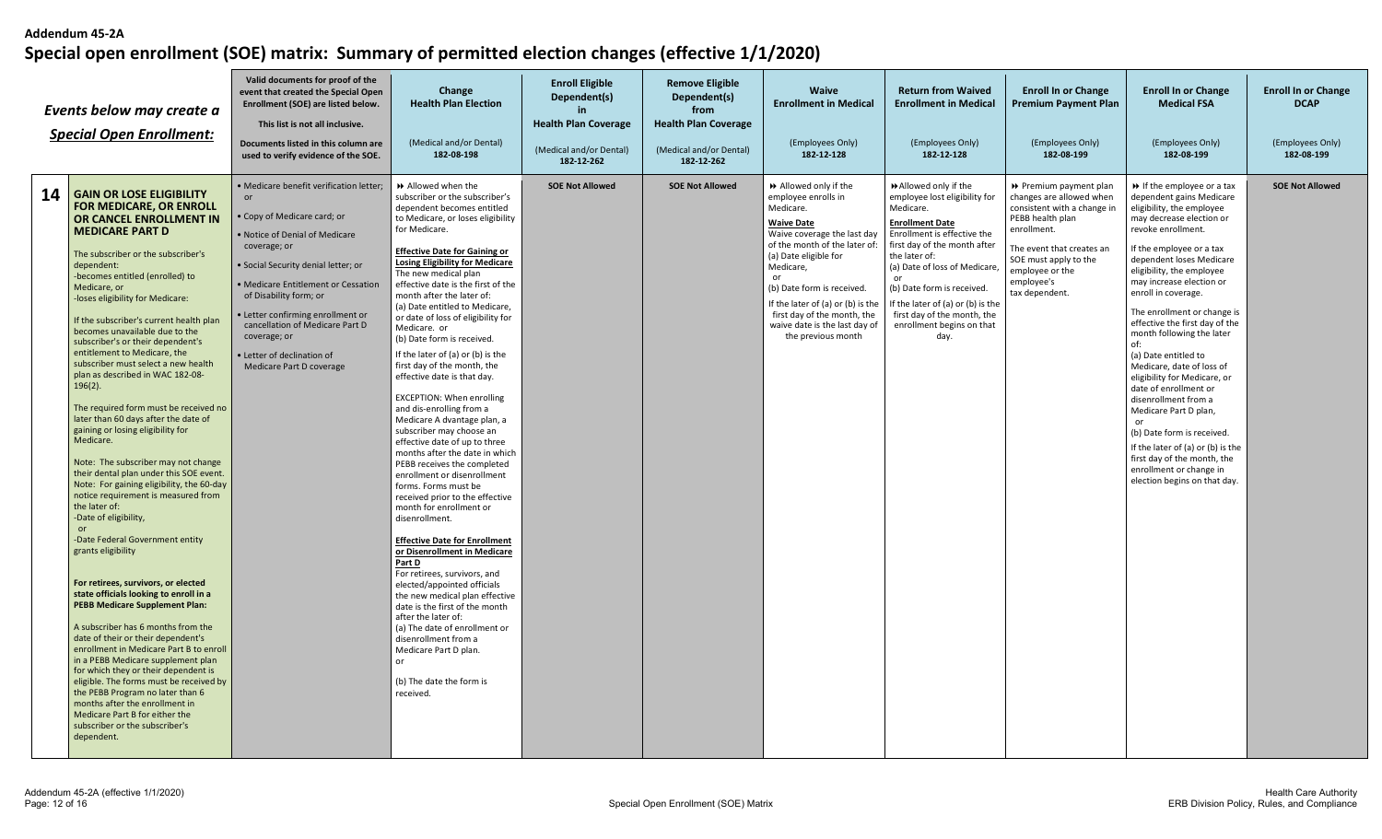| Events below may create a<br><b>Special Open Enrollment:</b>                                                                                                                                                                                                                                                                                                                                                                                                                                                                                                                                                                                                                                                                                                                                                                                                                                                                                                                                                                                                                                                                                                                                                                                                                                                                                                                                                                                              | Valid documents for proof of the<br>event that created the Special Open<br>Enrollment (SOE) are listed below.<br>This list is not all inclusive.<br>Documents listed in this column are<br>used to verify evidence of the SOE.                                                                                                                                                           | Change<br><b>Health Plan Election</b><br>(Medical and/or Dental)<br>182-08-198                                                                                                                                                                                                                                                                                                                                                                                                                                                                                                                                                                                                                                                                                                                                                                                                                                                                                                                                                                                                                                                                                                                                                                                                                | <b>Enroll Eligible</b><br>Dependent(s)<br>in<br><b>Health Plan Coverage</b><br>(Medical and/or Dental)<br>182-12-262 | <b>Remove Eligible</b><br>Dependent(s)<br>from<br><b>Health Plan Coverage</b><br>(Medical and/or Dental)<br>182-12-262 | Waive<br><b>Enrollment in Medical</b><br>(Employees Only)<br>182-12-128                                                                                                                                                                                                                                                                           | <b>Return from Waived</b><br><b>Enrollment in Medical</b><br>(Employees Only)<br>182-12-128                                                                                                                                                                                                                                                              | <b>Enroll In or Change</b><br>Premium Payment Plan<br>(Employees Only)<br>182-08-199                                                                                                                                          | <b>Enroll In or Change</b><br><b>Medical FSA</b><br>(Employees Only)<br>182-08-199                                                                                                                                                                                                                                                                                                                                                                                                                                                                                                                                                                                                                                            | <b>Enroll In or Change</b><br><b>DCAP</b><br>(Employees Only)<br>182-08-199 |
|-----------------------------------------------------------------------------------------------------------------------------------------------------------------------------------------------------------------------------------------------------------------------------------------------------------------------------------------------------------------------------------------------------------------------------------------------------------------------------------------------------------------------------------------------------------------------------------------------------------------------------------------------------------------------------------------------------------------------------------------------------------------------------------------------------------------------------------------------------------------------------------------------------------------------------------------------------------------------------------------------------------------------------------------------------------------------------------------------------------------------------------------------------------------------------------------------------------------------------------------------------------------------------------------------------------------------------------------------------------------------------------------------------------------------------------------------------------|------------------------------------------------------------------------------------------------------------------------------------------------------------------------------------------------------------------------------------------------------------------------------------------------------------------------------------------------------------------------------------------|-----------------------------------------------------------------------------------------------------------------------------------------------------------------------------------------------------------------------------------------------------------------------------------------------------------------------------------------------------------------------------------------------------------------------------------------------------------------------------------------------------------------------------------------------------------------------------------------------------------------------------------------------------------------------------------------------------------------------------------------------------------------------------------------------------------------------------------------------------------------------------------------------------------------------------------------------------------------------------------------------------------------------------------------------------------------------------------------------------------------------------------------------------------------------------------------------------------------------------------------------------------------------------------------------|----------------------------------------------------------------------------------------------------------------------|------------------------------------------------------------------------------------------------------------------------|---------------------------------------------------------------------------------------------------------------------------------------------------------------------------------------------------------------------------------------------------------------------------------------------------------------------------------------------------|----------------------------------------------------------------------------------------------------------------------------------------------------------------------------------------------------------------------------------------------------------------------------------------------------------------------------------------------------------|-------------------------------------------------------------------------------------------------------------------------------------------------------------------------------------------------------------------------------|-------------------------------------------------------------------------------------------------------------------------------------------------------------------------------------------------------------------------------------------------------------------------------------------------------------------------------------------------------------------------------------------------------------------------------------------------------------------------------------------------------------------------------------------------------------------------------------------------------------------------------------------------------------------------------------------------------------------------------|-----------------------------------------------------------------------------|
| 14<br><b>GAIN OR LOSE ELIGIBILITY</b><br>FOR MEDICARE, OR ENROLL<br>OR CANCEL ENROLLMENT IN<br><b>MEDICARE PART D</b><br>The subscriber or the subscriber's<br>dependent:<br>-becomes entitled (enrolled) to<br>Medicare, or<br>-loses eligibility for Medicare:<br>If the subscriber's current health plan<br>becomes unavailable due to the<br>subscriber's or their dependent's<br>entitlement to Medicare, the<br>subscriber must select a new health<br>plan as described in WAC 182-08-<br>$196(2)$ .<br>The required form must be received no<br>later than 60 days after the date of<br>gaining or losing eligibility for<br>Medicare.<br>Note: The subscriber may not change<br>their dental plan under this SOE event.<br>Note: For gaining eligibility, the 60-day<br>notice requirement is measured from<br>the later of:<br>-Date of eligibility,<br>-Date Federal Government entity<br>grants eligibility<br>For retirees, survivors, or elected<br>state officials looking to enroll in a<br><b>PEBB Medicare Supplement Plan:</b><br>A subscriber has 6 months from the<br>date of their or their dependent's<br>enrollment in Medicare Part B to enroll<br>in a PEBB Medicare supplement plan<br>for which they or their dependent is<br>eligible. The forms must be received by<br>the PEBB Program no later than 6<br>months after the enrollment in<br>Medicare Part B for either the<br>subscriber or the subscriber's<br>dependent. | · Medicare benefit verification letter:<br>or<br>• Copy of Medicare card; or<br>. Notice of Denial of Medicare<br>coverage; or<br>· Social Security denial letter; or<br>· Medicare Entitlement or Cessation<br>of Disability form; or<br>· Letter confirming enrollment or<br>cancellation of Medicare Part D<br>coverage; or<br>· Letter of declination of<br>Medicare Part D coverage | Allowed when the<br>subscriber or the subscriber's<br>dependent becomes entitled<br>to Medicare, or loses eligibility<br>for Medicare.<br><b>Effective Date for Gaining or</b><br><b>Losing Eligibility for Medicare</b><br>The new medical plan<br>effective date is the first of the<br>month after the later of:<br>(a) Date entitled to Medicare,<br>or date of loss of eligibility for<br>Medicare. or<br>(b) Date form is received.<br>If the later of (a) or (b) is the<br>first day of the month, the<br>effective date is that day.<br><b>EXCEPTION: When enrolling</b><br>and dis-enrolling from a<br>Medicare A dvantage plan, a<br>subscriber may choose an<br>effective date of up to three<br>months after the date in which<br>PEBB receives the completed<br>enrollment or disenrollment<br>forms. Forms must be<br>received prior to the effective<br>month for enrollment or<br>disenrollment.<br><b>Effective Date for Enrollment</b><br>or Disenrollment in Medicare<br>Part D<br>For retirees, survivors, and<br>elected/appointed officials<br>the new medical plan effective<br>date is the first of the month<br>after the later of:<br>(a) The date of enrollment or<br>disenrollment from a<br>Medicare Part D plan.<br>or<br>(b) The date the form is<br>received. | <b>SOE Not Allowed</b>                                                                                               | <b>SOE Not Allowed</b>                                                                                                 | Allowed only if the<br>employee enrolls in<br>Medicare.<br><b>Waive Date</b><br>Waive coverage the last day<br>of the month of the later of:<br>(a) Date eligible for<br>Medicare,<br>or<br>(b) Date form is received.<br>If the later of (a) or (b) is the<br>first day of the month, the<br>waive date is the last day of<br>the previous month | Allowed only if the<br>employee lost eligibility for<br>Medicare.<br><b>Enrollment Date</b><br>Enrollment is effective the<br>first day of the month after<br>the later of:<br>(a) Date of loss of Medicare<br>or<br>(b) Date form is received.<br>If the later of (a) or (b) is the<br>first day of the month, the<br>enrollment begins on that<br>day. | ▶ Premium payment plan<br>changes are allowed when<br>consistent with a change in<br>PEBB health plan<br>enrollment.<br>The event that creates an<br>SOE must apply to the<br>employee or the<br>employee's<br>tax dependent. | $\triangleright$ If the employee or a tax<br>dependent gains Medicare<br>eligibility, the employee<br>may decrease election or<br>revoke enrollment.<br>If the employee or a tax<br>dependent loses Medicare<br>eligibility, the employee<br>may increase election or<br>enroll in coverage.<br>The enrollment or change is<br>effective the first day of the<br>month following the later<br>of:<br>(a) Date entitled to<br>Medicare, date of loss of<br>eligibility for Medicare, or<br>date of enrollment or<br>disenrollment from a<br>Medicare Part D plan,<br>(b) Date form is received.<br>If the later of (a) or (b) is the<br>first day of the month, the<br>enrollment or change in<br>election begins on that day. | <b>SOE Not Allowed</b>                                                      |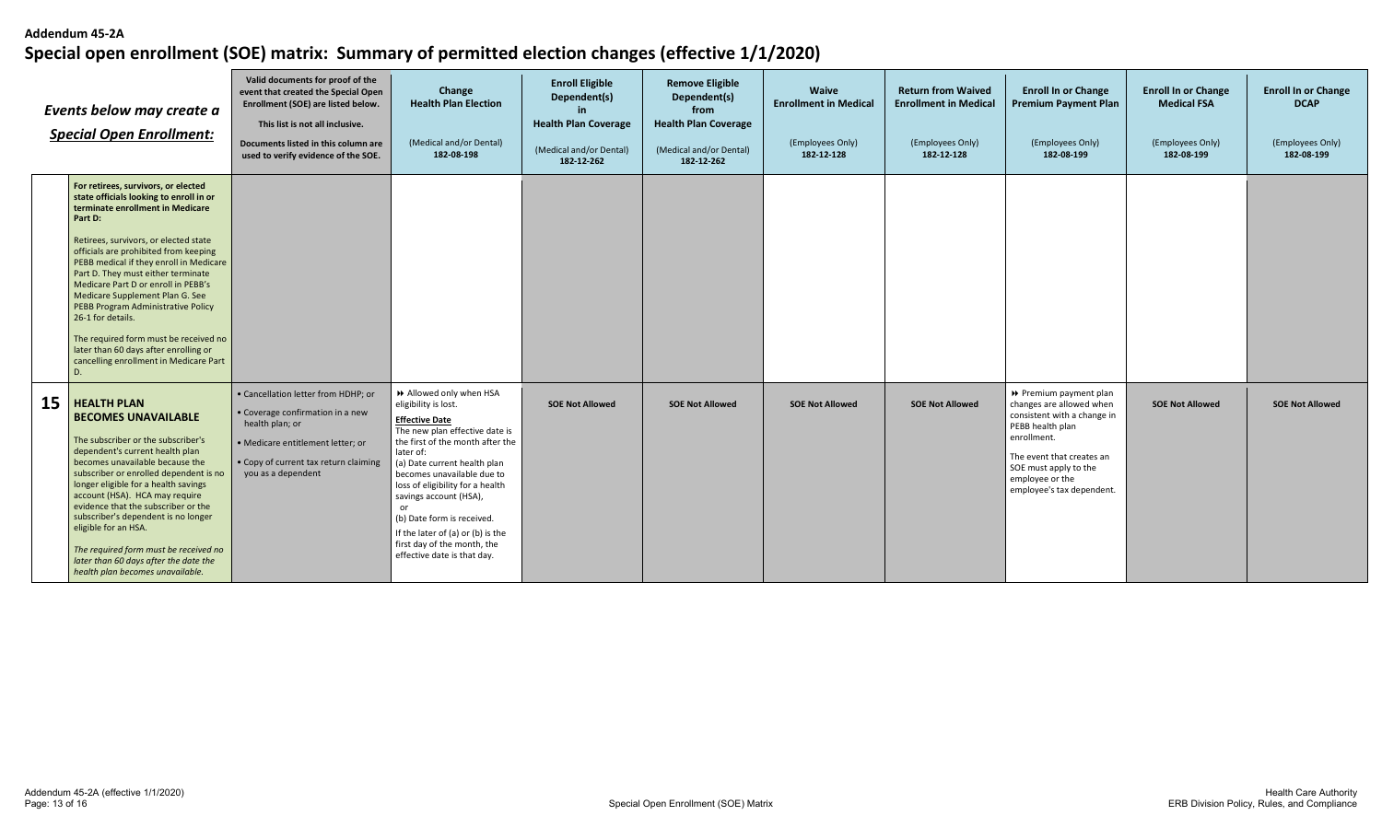| Events below may create a<br><b>Special Open Enrollment:</b> |                                                                                                                                                                                                                                                                                                                                                                                                                                                                                                                                                                         | Valid documents for proof of the<br>event that created the Special Open<br>Enrollment (SOE) are listed below.<br>This list is not all inclusive.<br>Documents listed in this column are<br>used to verify evidence of the SOE. | Change<br><b>Health Plan Election</b><br>(Medical and/or Dental)<br>182-08-198                                                                                                                                                                                                                                                                                                                                                      | <b>Enroll Eligible</b><br>Dependent(s)<br>in.<br><b>Health Plan Coverage</b><br>(Medical and/or Dental)<br>182-12-262 | <b>Remove Eligible</b><br>Dependent(s)<br>from<br><b>Health Plan Coverage</b><br>(Medical and/or Dental)<br>182-12-262 | Waive<br><b>Enrollment in Medical</b><br>(Employees Only)<br>182-12-128 | <b>Return from Waived</b><br><b>Enrollment in Medical</b><br>(Employees Only)<br>182-12-128 | <b>Enroll In or Change</b><br><b>Premium Payment Plan</b><br>(Employees Only)<br>182-08-199                                                                                                                              | <b>Enroll In or Change</b><br><b>Medical FSA</b><br>(Employees Only)<br>182-08-199 | <b>Enroll In or Change</b><br><b>DCAP</b><br>(Employees Only)<br>182-08-199 |
|--------------------------------------------------------------|-------------------------------------------------------------------------------------------------------------------------------------------------------------------------------------------------------------------------------------------------------------------------------------------------------------------------------------------------------------------------------------------------------------------------------------------------------------------------------------------------------------------------------------------------------------------------|--------------------------------------------------------------------------------------------------------------------------------------------------------------------------------------------------------------------------------|-------------------------------------------------------------------------------------------------------------------------------------------------------------------------------------------------------------------------------------------------------------------------------------------------------------------------------------------------------------------------------------------------------------------------------------|-----------------------------------------------------------------------------------------------------------------------|------------------------------------------------------------------------------------------------------------------------|-------------------------------------------------------------------------|---------------------------------------------------------------------------------------------|--------------------------------------------------------------------------------------------------------------------------------------------------------------------------------------------------------------------------|------------------------------------------------------------------------------------|-----------------------------------------------------------------------------|
|                                                              | For retirees, survivors, or elected<br>state officials looking to enroll in or<br>terminate enrollment in Medicare<br>Part D:<br>Retirees, survivors, or elected state<br>officials are prohibited from keeping<br>PEBB medical if they enroll in Medicare<br>Part D. They must either terminate<br>Medicare Part D or enroll in PEBB's<br>Medicare Supplement Plan G. See<br>PEBB Program Administrative Policy<br>26-1 for details.<br>The required form must be received no<br>later than 60 days after enrolling or<br>cancelling enrollment in Medicare Part<br>D. |                                                                                                                                                                                                                                |                                                                                                                                                                                                                                                                                                                                                                                                                                     |                                                                                                                       |                                                                                                                        |                                                                         |                                                                                             |                                                                                                                                                                                                                          |                                                                                    |                                                                             |
| 15                                                           | <b>HEALTH PLAN</b><br><b>BECOMES UNAVAILABLE</b><br>The subscriber or the subscriber's<br>dependent's current health plan<br>becomes unavailable because the<br>subscriber or enrolled dependent is no<br>longer eligible for a health savings<br>account (HSA). HCA may require<br>evidence that the subscriber or the<br>subscriber's dependent is no longer<br>eligible for an HSA.<br>The required form must be received no<br>later than 60 days after the date the<br>health plan becomes unavailable.                                                            | • Cancellation letter from HDHP; or<br>• Coverage confirmation in a new<br>health plan; or<br>· Medicare entitlement letter; or<br>• Copy of current tax return claiming<br>you as a dependent                                 | >> Allowed only when HSA<br>eligibility is lost.<br><b>Effective Date</b><br>The new plan effective date is<br>the first of the month after the<br>later of:<br>(a) Date current health plan<br>becomes unavailable due to<br>loss of eligibility for a health<br>savings account (HSA),<br>or<br>(b) Date form is received.<br>If the later of $(a)$ or $(b)$ is the<br>first day of the month, the<br>effective date is that day. | <b>SOE Not Allowed</b>                                                                                                | <b>SOE Not Allowed</b>                                                                                                 | <b>SOE Not Allowed</b>                                                  | <b>SOE Not Allowed</b>                                                                      | Premium payment plan<br>changes are allowed when<br>consistent with a change in<br>PEBB health plan<br>enrollment.<br>The event that creates an<br>SOE must apply to the<br>employee or the<br>employee's tax dependent. | <b>SOE Not Allowed</b>                                                             | <b>SOE Not Allowed</b>                                                      |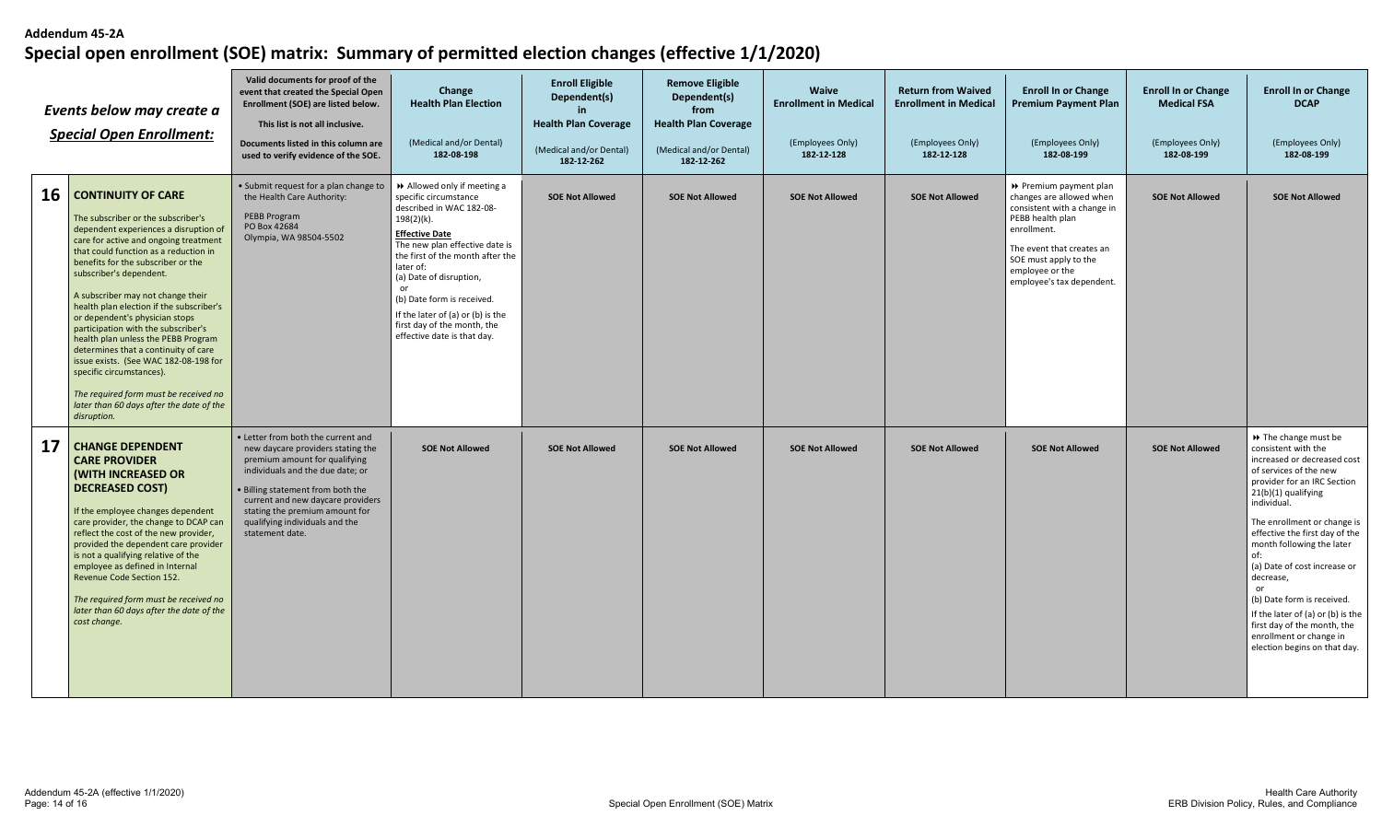| Events below may create a<br><b>Special Open Enrollment:</b> |                                                                                                                                                                                                                                                                                                                                                                                                                                                                                                                                                                                                                                                                           | Valid documents for proof of the<br>event that created the Special Open<br>Enrollment (SOE) are listed below.<br>This list is not all inclusive.<br>Documents listed in this column are<br>used to verify evidence of the SOE.                                                                                | Change<br><b>Health Plan Election</b><br>(Medical and/or Dental)<br>182-08-198                                                                                                                                                                                                                                                                                             | <b>Enroll Eligible</b><br>Dependent(s)<br><b>Health Plan Coverage</b><br>(Medical and/or Dental)<br>182-12-262 | <b>Remove Eligible</b><br>Dependent(s)<br>from<br><b>Health Plan Coverage</b><br>(Medical and/or Dental)<br>182-12-262 | <b>Waive</b><br><b>Enrollment in Medical</b><br>(Employees Only)<br>182-12-128 | <b>Return from Waived</b><br><b>Enrollment in Medical</b><br>(Employees Only)<br>182-12-128 | <b>Enroll In or Change</b><br><b>Premium Payment Plan</b><br>(Employees Only)<br>182-08-199                                                                                                                                | <b>Enroll In or Change</b><br><b>Medical FSA</b><br>(Employees Only)<br>182-08-199 | <b>Enroll In or Change</b><br><b>DCAP</b><br>(Employees Only)<br>182-08-199                                                                                                                                                                                                                                                                                                                                                                                                                     |
|--------------------------------------------------------------|---------------------------------------------------------------------------------------------------------------------------------------------------------------------------------------------------------------------------------------------------------------------------------------------------------------------------------------------------------------------------------------------------------------------------------------------------------------------------------------------------------------------------------------------------------------------------------------------------------------------------------------------------------------------------|---------------------------------------------------------------------------------------------------------------------------------------------------------------------------------------------------------------------------------------------------------------------------------------------------------------|----------------------------------------------------------------------------------------------------------------------------------------------------------------------------------------------------------------------------------------------------------------------------------------------------------------------------------------------------------------------------|----------------------------------------------------------------------------------------------------------------|------------------------------------------------------------------------------------------------------------------------|--------------------------------------------------------------------------------|---------------------------------------------------------------------------------------------|----------------------------------------------------------------------------------------------------------------------------------------------------------------------------------------------------------------------------|------------------------------------------------------------------------------------|-------------------------------------------------------------------------------------------------------------------------------------------------------------------------------------------------------------------------------------------------------------------------------------------------------------------------------------------------------------------------------------------------------------------------------------------------------------------------------------------------|
|                                                              | 16 CONTINUITY OF CARE<br>The subscriber or the subscriber's<br>dependent experiences a disruption of<br>care for active and ongoing treatment<br>that could function as a reduction in<br>benefits for the subscriber or the<br>subscriber's dependent.<br>A subscriber may not change their<br>health plan election if the subscriber's<br>or dependent's physician stops<br>participation with the subscriber's<br>health plan unless the PEBB Program<br>determines that a continuity of care<br>issue exists. (See WAC 182-08-198 for<br>specific circumstances).<br>The required form must be received no<br>later than 60 days after the date of the<br>disruption. | • Submit request for a plan change to<br>the Health Care Authority:<br>PEBB Program<br>PO Box 42684<br>Olympia, WA 98504-5502                                                                                                                                                                                 | Allowed only if meeting a<br>specific circumstance<br>described in WAC 182-08-<br>198(2)(k).<br><b>Effective Date</b><br>The new plan effective date is<br>the first of the month after the<br>later of:<br>(a) Date of disruption,<br>or<br>(b) Date form is received.<br>If the later of (a) or (b) is the<br>first day of the month, the<br>effective date is that day. | <b>SOE Not Allowed</b>                                                                                         | <b>SOE Not Allowed</b>                                                                                                 | <b>SOE Not Allowed</b>                                                         | <b>SOE Not Allowed</b>                                                                      | ▶ Premium payment plan<br>changes are allowed when<br>consistent with a change in<br>PEBB health plan<br>enrollment.<br>The event that creates an<br>SOE must apply to the<br>employee or the<br>employee's tax dependent. | <b>SOE Not Allowed</b>                                                             | <b>SOE Not Allowed</b>                                                                                                                                                                                                                                                                                                                                                                                                                                                                          |
|                                                              | 17 CHANGE DEPENDENT<br><b>CARE PROVIDER</b><br><b>(WITH INCREASED OR</b><br>  DECREASED COST)<br>If the employee changes dependent<br>care provider, the change to DCAP can<br>reflect the cost of the new provider,<br>provided the dependent care provider<br>is not a qualifying relative of the<br>employee as defined in Internal<br>Revenue Code Section 152.<br>The required form must be received no<br>later than 60 days after the date of the<br>cost change.                                                                                                                                                                                                  | • Letter from both the current and<br>new daycare providers stating the<br>premium amount for qualifying<br>individuals and the due date; or<br>. Billing statement from both the<br>current and new daycare providers<br>stating the premium amount for<br>qualifying individuals and the<br>statement date. | <b>SOE Not Allowed</b>                                                                                                                                                                                                                                                                                                                                                     | <b>SOE Not Allowed</b>                                                                                         | <b>SOE Not Allowed</b>                                                                                                 | <b>SOE Not Allowed</b>                                                         | <b>SOE Not Allowed</b>                                                                      | <b>SOE Not Allowed</b>                                                                                                                                                                                                     | <b>SOE Not Allowed</b>                                                             | >> The change must be<br>consistent with the<br>increased or decreased cost<br>of services of the new<br>provider for an IRC Section<br>21(b)(1) qualifying<br>individual.<br>The enrollment or change is<br>effective the first day of the<br>month following the later<br>of:<br>(a) Date of cost increase or<br>decrease,<br>or<br>(b) Date form is received.<br>If the later of (a) or (b) is the<br>first day of the month, the<br>enrollment or change in<br>election begins on that day. |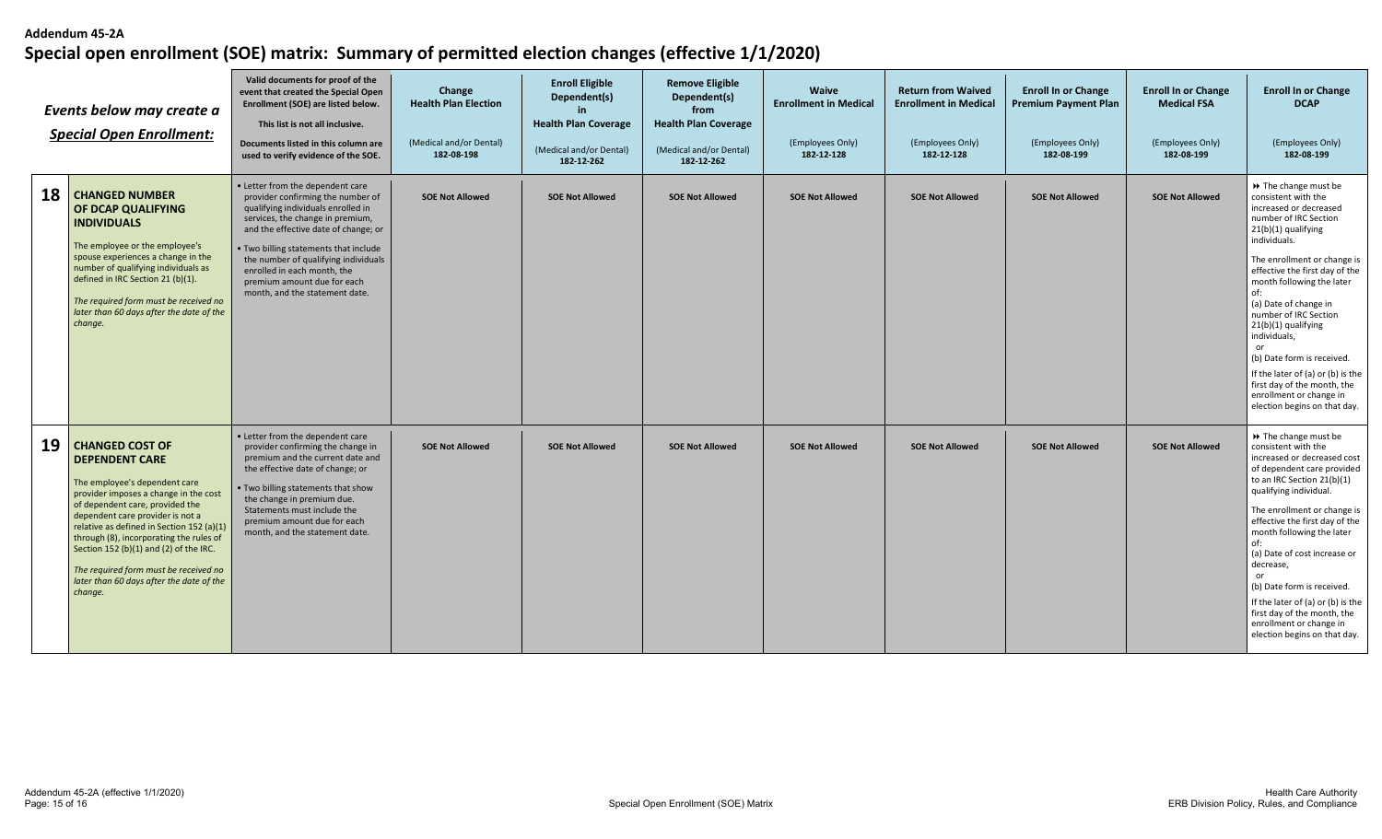| Events below may create a<br><b>Special Open Enrollment:</b> |                                                                                                                                                                                                                                                                                                                                                                                                                                    | Valid documents for proof of the<br>event that created the Special Open<br>Enrollment (SOE) are listed below.<br>This list is not all inclusive.<br>Documents listed in this column are<br>used to verify evidence of the SOE.                                                                                                                                           | Change<br><b>Health Plan Election</b><br>(Medical and/or Dental)<br>182-08-198 | <b>Enroll Eligible</b><br>Dependent(s)<br><b>Health Plan Coverage</b><br>(Medical and/or Dental)<br>182-12-262 | <b>Remove Eligible</b><br>Dependent(s)<br>from<br><b>Health Plan Coverage</b><br>(Medical and/or Dental)<br>182-12-262 | <b>Waive</b><br><b>Enrollment in Medical</b><br>(Employees Only)<br>182-12-128 | <b>Return from Waived</b><br><b>Enrollment in Medical</b><br>(Employees Only)<br>182-12-128 | <b>Enroll In or Change</b><br><b>Premium Payment Plan</b><br>(Employees Only)<br>182-08-199 | <b>Enroll In or Change</b><br><b>Medical FSA</b><br>(Employees Only)<br>182-08-199 | <b>Enroll In or Change</b><br><b>DCAP</b><br>(Employees Only)<br>182-08-199                                                                                                                                                                                                                                                                                                                                                                                                                            |
|--------------------------------------------------------------|------------------------------------------------------------------------------------------------------------------------------------------------------------------------------------------------------------------------------------------------------------------------------------------------------------------------------------------------------------------------------------------------------------------------------------|--------------------------------------------------------------------------------------------------------------------------------------------------------------------------------------------------------------------------------------------------------------------------------------------------------------------------------------------------------------------------|--------------------------------------------------------------------------------|----------------------------------------------------------------------------------------------------------------|------------------------------------------------------------------------------------------------------------------------|--------------------------------------------------------------------------------|---------------------------------------------------------------------------------------------|---------------------------------------------------------------------------------------------|------------------------------------------------------------------------------------|--------------------------------------------------------------------------------------------------------------------------------------------------------------------------------------------------------------------------------------------------------------------------------------------------------------------------------------------------------------------------------------------------------------------------------------------------------------------------------------------------------|
| 18                                                           | <b>CHANGED NUMBER</b><br><b>OF DCAP QUALIFYING</b><br><b>INDIVIDUALS</b><br>The employee or the employee's<br>spouse experiences a change in the<br>number of qualifying individuals as<br>defined in IRC Section 21 (b)(1).<br>The required form must be received no<br>later than 60 days after the date of the<br>change.                                                                                                       | • Letter from the dependent care<br>provider confirming the number of<br>qualifying individuals enrolled in<br>services, the change in premium,<br>and the effective date of change; or<br>. Two billing statements that include<br>the number of qualifying individuals<br>enrolled in each month, the<br>premium amount due for each<br>month, and the statement date. | <b>SOE Not Allowed</b>                                                         | <b>SOE Not Allowed</b>                                                                                         | <b>SOE Not Allowed</b>                                                                                                 | <b>SOE Not Allowed</b>                                                         | <b>SOE Not Allowed</b>                                                                      | <b>SOE Not Allowed</b>                                                                      | <b>SOE Not Allowed</b>                                                             | → The change must be<br>consistent with the<br>increased or decreased<br>number of IRC Section<br>21(b)(1) qualifying<br>individuals.<br>The enrollment or change is<br>effective the first day of the<br>month following the later<br>of:<br>(a) Date of change in<br>number of IRC Section<br>21(b)(1) qualifying<br>individuals,<br>or<br>(b) Date form is received.<br>If the later of (a) or (b) is the<br>first day of the month, the<br>enrollment or change in<br>election begins on that day. |
| 19                                                           | <b>CHANGED COST OF</b><br><b>DEPENDENT CARE</b><br>The employee's dependent care<br>provider imposes a change in the cost<br>of dependent care, provided the<br>dependent care provider is not a<br>relative as defined in Section 152 (a)(1)<br>through (8), incorporating the rules of<br>Section 152 (b)(1) and (2) of the IRC.<br>The required form must be received no<br>later than 60 days after the date of the<br>change. | • Letter from the dependent care<br>provider confirming the change in<br>premium and the current date and<br>the effective date of change; or<br>. Two billing statements that show<br>the change in premium due.<br>Statements must include the<br>premium amount due for each<br>month, and the statement date.                                                        | <b>SOE Not Allowed</b>                                                         | <b>SOE Not Allowed</b>                                                                                         | <b>SOE Not Allowed</b>                                                                                                 | <b>SOE Not Allowed</b>                                                         | <b>SOE Not Allowed</b>                                                                      | <b>SOE Not Allowed</b>                                                                      | <b>SOE Not Allowed</b>                                                             | → The change must be<br>consistent with the<br>increased or decreased cost<br>of dependent care provided<br>to an IRC Section 21(b)(1)<br>qualifying individual.<br>The enrollment or change is<br>effective the first day of the<br>month following the later<br>(a) Date of cost increase or<br>decrease,<br>or<br>(b) Date form is received.<br>If the later of (a) or (b) is the<br>first day of the month, the<br>enrollment or change in<br>election begins on that day.                         |